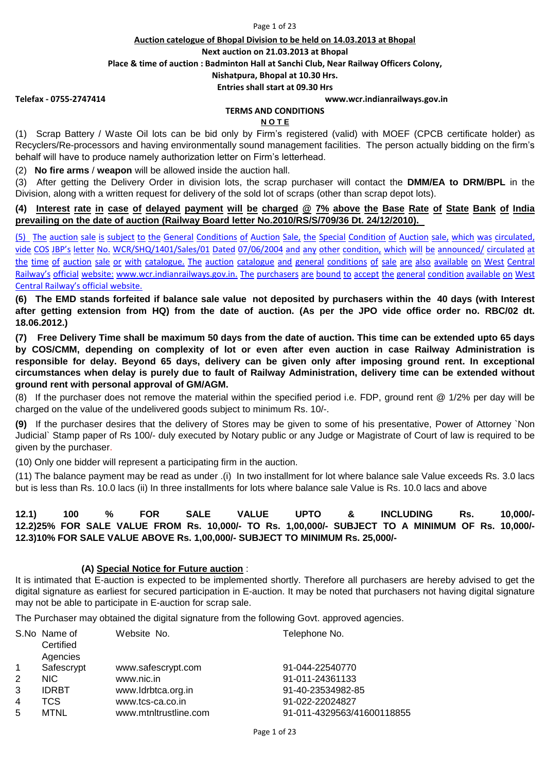#### Page 1 of 23

#### **Auction catelogue of Bhopal Division to be held on 14.03.2013 at Bhopal**

**Next auction on 21.03.2013 at Bhopal**

**Place & time of auction : Badminton Hall at Sanchi Club, Near Railway Officers Colony,** 

**Nishatpura, Bhopal at 10.30 Hrs.**

**Entries shall start at 09.30 Hrs**

#### **Telefax - 0755-2747414 www.wcr.indianrailways.gov.in**

#### **TERMS AND CONDITIONS**

#### **N O T E**

(1) Scrap Battery / Waste Oil lots can be bid only by Firm's registered (valid) with MOEF (CPCB certificate holder) as Recyclers/Re-processors and having environmentally sound management facilities. The person actually bidding on the firm's behalf will have to produce namely authorization letter on Firm's letterhead.

(2) **No fire arms** / **weapon** will be allowed inside the auction hall.

(3) After getting the Delivery Order in division lots, the scrap purchaser will contact the **DMM/EA to DRM/BPL** in the Division, along with a written request for delivery of the sold lot of scraps (other than scrap depot lots).

### (4) Interest rate in case of delaved payment will be charged @ 7% above the Base Rate of State Bank of India **prevailing on the date of auction (Railway Board letter No.2010/RS/S/709/36 Dt. 24/12/2010).**

[\(5\) The](http://www.wcr.indianrailways.gov.in/) [auction](http://www.wcr.indianrailways.gov.in/) sale is subject to the [General](http://www.wcr.indianrailways.gov.in/) [Conditions](http://www.wcr.indianrailways.gov.in/) of Auction Sale, the Special Condition of Auction sale, which was circulated, [vide](http://www.wcr.indianrailways.gov.in/) [COS](http://www.wcr.indianrailways.gov.in/) [JBP's](http://www.wcr.indianrailways.gov.in/) [letter](http://www.wcr.indianrailways.gov.in/) No. [WCR/SHQ/1401/Sales/01](http://www.wcr.indianrailways.gov.in/) Dated 07/06/2004 and any other condition, which will be announced/ circulated at [the](http://www.wcr.indianrailways.gov.in/) [time](http://www.wcr.indianrailways.gov.in/) of [auction](http://www.wcr.indianrailways.gov.in/) sale or with [catalogue.](http://www.wcr.indianrailways.gov.in/) The auction catalogue and general [conditions](http://www.wcr.indianrailways.gov.in/) of sale are also available on West Central [Railway's](http://www.wcr.indianrailways.gov.in/) [official](http://www.wcr.indianrailways.gov.in/) [website:](http://www.wcr.indianrailways.gov.in/) [www.wcr.indianrailways.gov.in.](http://www.wcr.indianrailways.gov.in/) The purchasers are bound to accept the general condition available on West [Centra](http://www.wcr.indianrailways.gov.in/)l Railway's official website.

(6) The EMD stands forfeited if balance sale value not deposited by purchasers within the 40 days (with Interest after getting extension from HQ) from the date of auction. (As per the JPO vide office order no. RBC/02 dt. **18.06.2012.)**

(7) Free Delivery Time shall be maximum 50 days from the date of auction. This time can be extended upto 65 days **by COS/CMM, depending on complexity of lot or even after even auction in case Railway Administration is** responsible for delay. Beyond 65 days, delivery can be given only after imposing ground rent. In exceptional circumstances when delay is purely due to fault of Railway Administration, delivery time can be extended without **ground rent with personal approval of GM/AGM.** 

(8) If the purchaser does not remove the material within the specified period i.e. FDP, ground rent @ 1/2% per day will be charged on the value of the undelivered goods subject to minimum Rs. 10/-.

**(9)** If the purchaser desires that the delivery of Stores may be given to some of his presentative, Power of Attorney `Non Judicial` Stamp paper of Rs 100/- duly executed by Notary public or any Judge or Magistrate of Court of law is required to be given by the purchaser.

(10) Only one bidder will represent a participating firm in the auction.

(11) The balance payment may be read as under .(i) In two installment for lot where balance sale Value exceeds Rs. 3.0 lacs but is less than Rs. 10.0 lacs (ii) In three installments for lots where balance sale Value is Rs. 10.0 lacs and above

## **12.1) 100 % FOR SALE VALUE UPTO & INCLUDING Rs. 10,000/- 12.2)25% FOR SALE VALUE FROM Rs. 10,000/- TO Rs. 1,00,000/- SUBJECT TO A MINIMUM OF Rs. 10,000/- 12.3)10% FOR SALE VALUE ABOVE Rs. 1,00,000/- SUBJECT TO MINIMUM Rs. 25,000/-**

### **(A) Special Notice for Future auction** :

It is intimated that E-auction is expected to be implemented shortly. Therefore all purchasers are hereby advised to get the digital signature as earliest for secured participation in E-auction. It may be noted that purchasers not having digital signature may not be able to participate in E-auction for scrap sale.

The Purchaser may obtained the digital signature from the following Govt. approved agencies.

|              | S.No Name of<br>Certified<br>Agencies | Website No.           | Telephone No.              |
|--------------|---------------------------------------|-----------------------|----------------------------|
| $\mathbf{1}$ | Safescrypt                            | www.safescrypt.com    | 91-044-22540770            |
| 2            | NIC.                                  | www.nic.in            | 91-011-24361133            |
| 3            | <b>IDRBT</b>                          | www.Idrbtca.org.in    | 91-40-23534982-85          |
| 4            | TCS                                   | www.tcs-ca.co.in      | 91-022-22024827            |
| 5            | <b>MTNL</b>                           | www.mtnltrustline.com | 91-011-4329563/41600118855 |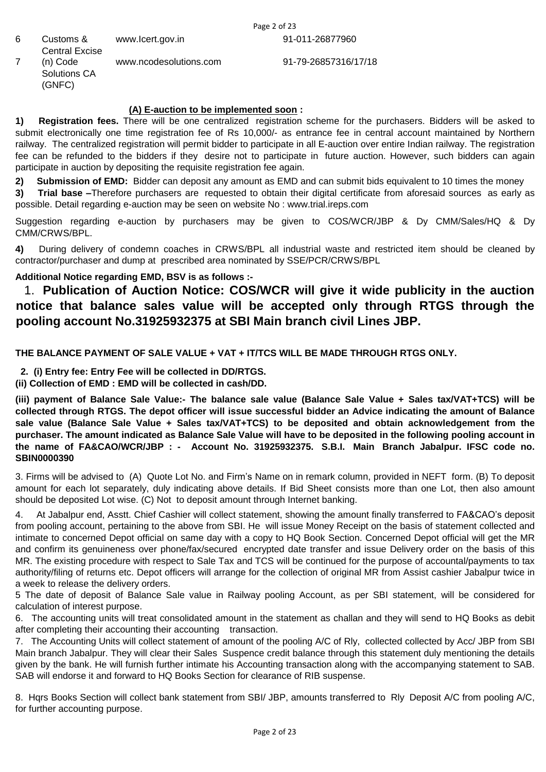91-011-26877960

6 Customs & Central Excise www.Icert.gov.in 7 (n) Code Solutions CA (GNFC) www.ncodesolutions.com

91-79-26857316/17/18

## **(A) E-auction to be implemented soon :**

**1) Registration fees.** There will be one centralized registration scheme for the purchasers. Bidders will be asked to submit electronically one time registration fee of Rs 10,000/- as entrance fee in central account maintained by Northern railway. The centralized registration will permit bidder to participate in all E-auction over entire Indian railway. The registration fee can be refunded to the bidders if they desire not to participate in future auction. However, such bidders can again participate in auction by depositing the requisite registration fee again.

**3) Trial base –**Therefore purchasers are requested to obtain their digital certificate from aforesaid sources as early as possible. Detail regarding e-auction may be seen on website No : www.trial.ireps.com **2) Submission of EMD:** Bidder can deposit any amount as EMD and can submit bids equivalent to 10 times the money

Suggestion regarding e-auction by purchasers may be given to COS/WCR/JBP & Dy CMM/Sales/HQ & Dy CMM/CRWS/BPL.

**4)** During delivery of condemn coaches in CRWS/BPL all industrial waste and restricted item should be cleaned by contractor/purchaser and dump at prescribed area nominated by SSE/PCR/CRWS/BPL

## **Additional Notice regarding EMD, BSV is as follows :-**

# 1. **Publication of Auction Notice: COS/WCR will give it wide publicity in the auction notice that balance sales value will be accepted only through RTGS through the pooling account No.31925932375 at SBI Main branch civil Lines JBP.**

## **THE BALANCE PAYMENT OF SALE VALUE + VAT + IT/TCS WILL BE MADE THROUGH RTGS ONLY.**

 **2. (i) Entry fee: Entry Fee will be collected in DD/RTGS.** 

**(ii) Collection of EMD : EMD will be collected in cash/DD.** 

(iii) payment of Balance Sale Value:- The balance sale value (Balance Sale Value + Sales tax/VAT+TCS) will be collected through RTGS. The depot officer will issue successful bidder an Advice indicating the amount of Balance **sale value (Balance Sale Value + Sales tax/VAT+TCS) to be deposited and obtain acknowledgement from the** purchaser. The amount indicated as Balance Sale Value will have to be deposited in the following pooling account in **the name of FA&CAO/WCR/JBP : - Account No. 31925932375. S.B.I. Main Branch Jabalpur. IFSC code no. SBIN0000390** 

3. Firms will be advised to (A) Quote Lot No. and Firm's Name on in remark column, provided in NEFT form. (B) To deposit amount for each lot separately, duly indicating above details. If Bid Sheet consists more than one Lot, then also amount should be deposited Lot wise. (C) Not to deposit amount through Internet banking.

4. At Jabalpur end, Asstt. Chief Cashier will collect statement, showing the amount finally transferred to FA&CAO's deposit from pooling account, pertaining to the above from SBI. He will issue Money Receipt on the basis of statement collected and intimate to concerned Depot official on same day with a copy to HQ Book Section. Concerned Depot official will get the MR and confirm its genuineness over phone/fax/secured encrypted date transfer and issue Delivery order on the basis of this MR. The existing procedure with respect to Sale Tax and TCS will be continued for the purpose of accountal/payments to tax authority/filing of returns etc. Depot officers will arrange for the collection of original MR from Assist cashier Jabalpur twice in a week to release the delivery orders.

5 The date of deposit of Balance Sale value in Railway pooling Account, as per SBI statement, will be considered for calculation of interest purpose.

6. The accounting units will treat consolidated amount in the statement as challan and they will send to HQ Books as debit after completing their accounting their accounting transaction.

7. The Accounting Units will collect statement of amount of the pooling A/C of Rly, collected collected by Acc/ JBP from SBI Main branch Jabalpur. They will clear their Sales Suspence credit balance through this statement duly mentioning the details given by the bank. He will furnish further intimate his Accounting transaction along with the accompanying statement to SAB. SAB will endorse it and forward to HQ Books Section for clearance of RIB suspense.

8. Hqrs Books Section will collect bank statement from SBI/ JBP, amounts transferred to Rly Deposit A/C from pooling A/C, for further accounting purpose.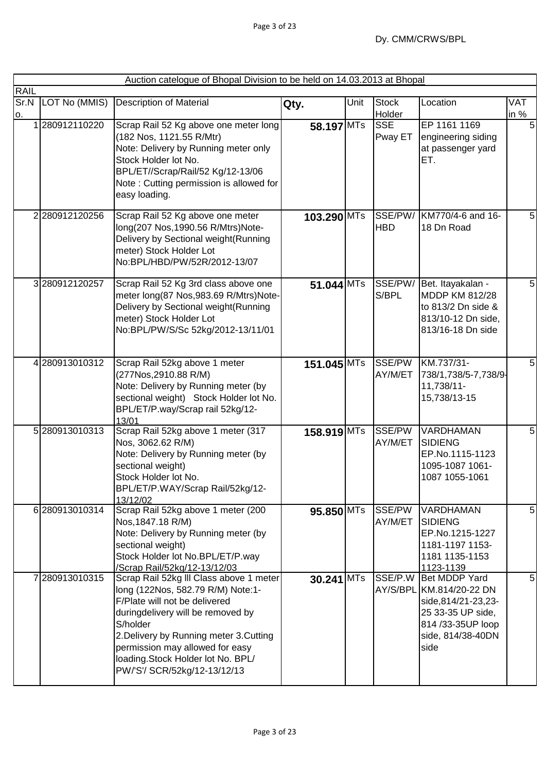|                   |                    | Auction catelogue of Bhopal Division to be held on 14.03.2013 at Bhopal                                                                                                                                                                                                                                           |              |      |                        |                                                                                                                                          |                |
|-------------------|--------------------|-------------------------------------------------------------------------------------------------------------------------------------------------------------------------------------------------------------------------------------------------------------------------------------------------------------------|--------------|------|------------------------|------------------------------------------------------------------------------------------------------------------------------------------|----------------|
| <b>RAIL</b><br>О. | Sr.N LOT No (MMIS) | <b>Description of Material</b>                                                                                                                                                                                                                                                                                    | Qty.         | Unit | <b>Stock</b><br>Holder | Location                                                                                                                                 | VAT<br>in %    |
|                   | 1280912110220      | Scrap Rail 52 Kg above one meter long<br>(182 Nos, 1121.55 R/Mtr)<br>Note: Delivery by Running meter only<br>Stock Holder lot No.<br>BPL/ET//Scrap/Rail/52 Kg/12-13/06<br>Note: Cutting permission is allowed for<br>easy loading.                                                                                | 58.197 MTs   |      | <b>SSE</b><br>Pway ET  | EP 1161 1169<br>engineering siding<br>at passenger yard<br>ET.                                                                           | 5              |
|                   | 2280912120256      | Scrap Rail 52 Kg above one meter<br>long(207 Nos, 1990.56 R/Mtrs)Note-<br>Delivery by Sectional weight (Running<br>meter) Stock Holder Lot<br>No:BPL/HBD/PW/52R/2012-13/07                                                                                                                                        | 103.290 MTs  |      | SSE/PW/<br><b>HBD</b>  | KM770/4-6 and 16-<br>18 Dn Road                                                                                                          | 5 <sub>5</sub> |
|                   | 3280912120257      | Scrap Rail 52 Kg 3rd class above one<br>meter long(87 Nos, 983.69 R/Mtrs)Note-<br>Delivery by Sectional weight(Running<br>meter) Stock Holder Lot<br>No:BPL/PW/S/Sc 52kg/2012-13/11/01                                                                                                                            | 51.044 MTs   |      | SSE/PW/<br>S/BPL       | Bet. Itayakalan -<br>MDDP KM 812/28<br>to 813/2 Dn side &<br>813/10-12 Dn side,<br>813/16-18 Dn side                                     | 5              |
|                   | 4 280913010312     | Scrap Rail 52kg above 1 meter<br>(277Nos, 2910.88 R/M)<br>Note: Delivery by Running meter (by<br>sectional weight) Stock Holder lot No.<br>BPL/ET/P.way/Scrap rail 52kg/12-<br>13/01                                                                                                                              | 151.045 MTs  |      | SSE/PW<br>AY/M/ET      | KM.737/31-<br>738/1,738/5-7,738/9-<br>11,738/11-<br>15,738/13-15                                                                         | 5 <sub>5</sub> |
|                   | 5 280913010313     | Scrap Rail 52kg above 1 meter (317<br>Nos, 3062.62 R/M)<br>Note: Delivery by Running meter (by<br>sectional weight)<br>Stock Holder lot No.<br>BPL/ET/P.WAY/Scrap Rail/52kg/12-<br>13/12/02                                                                                                                       | 158.919 MTs  |      | SSE/PW<br>AY/M/ET      | VARDHAMAN<br><b>SIDIENG</b><br>EP.No.1115-1123<br>1095-1087 1061-<br>1087 1055-1061                                                      | 5 <sub>l</sub> |
|                   | 6 280913010314     | Scrap Rail 52kg above 1 meter (200<br>Nos, 1847.18 R/M)<br>Note: Delivery by Running meter (by<br>sectional weight)<br>Stock Holder lot No.BPL/ET/P.way<br>/Scrap Rail/52kg/12-13/12/03                                                                                                                           | 95.850 MTs   |      | SSE/PW<br>AY/M/ET      | <b>VARDHAMAN</b><br>SIDIENG<br>EP.No.1215-1227<br>1181-1197 1153-<br>1181 1135-1153<br>1123-1139                                         | $\overline{5}$ |
|                   | 7280913010315      | Scrap Rail 52kg III Class above 1 meter<br>long (122Nos, 582.79 R/M) Note:1-<br>F/Plate will not be delivered<br>duringdelivery will be removed by<br>S/holder<br>2. Delivery by Running meter 3. Cutting<br>permission may allowed for easy<br>loading.Stock Holder lot No. BPL/<br>PW/'S'/ SCR/52kg/12-13/12/13 | $30.241$ MTs |      | SSE/P.W                | Bet MDDP Yard<br>AY/S/BPL KM.814/20-22 DN<br>side, 814/21-23, 23-<br>25 33-35 UP side,<br>814 / 3-35UP loop<br>side, 814/38-40DN<br>side | 5              |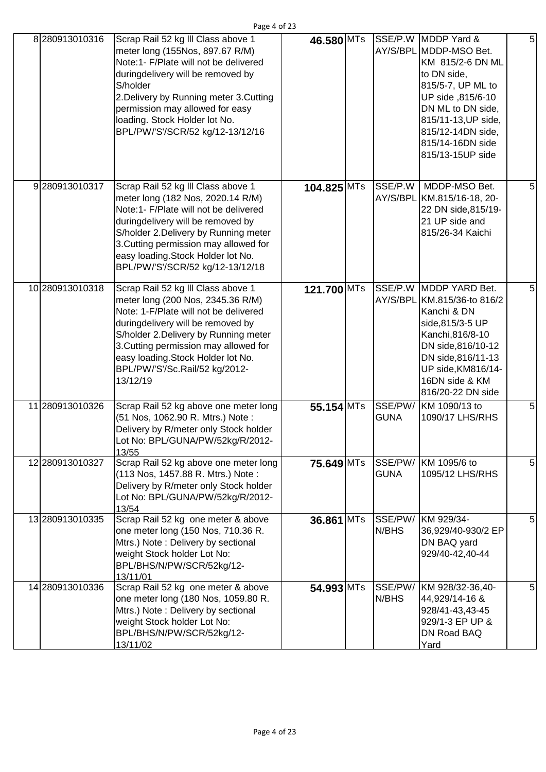| 8 280913010316  | Scrap Rail 52 kg III Class above 1<br>meter long (155Nos, 897.67 R/M)<br>Note:1- F/Plate will not be delivered<br>duringdelivery will be removed by<br>S/holder<br>2. Delivery by Running meter 3. Cutting<br>permission may allowed for easy<br>loading. Stock Holder lot No.<br>BPL/PW/'S'/SCR/52 kg/12-13/12/16         | 46.580 MTs   |             | SSE/P.W MDDP Yard &<br>AY/S/BPL MDDP-MSO Bet.<br>KM 815/2-6 DN ML<br>to DN side,<br>815/5-7, UP ML to<br>UP side ,815/6-10<br>DN ML to DN side,<br>815/11-13, UP side,<br>815/12-14DN side,<br>815/14-16DN side<br>815/13-15UP side | 5 <sub>5</sub> |
|-----------------|----------------------------------------------------------------------------------------------------------------------------------------------------------------------------------------------------------------------------------------------------------------------------------------------------------------------------|--------------|-------------|-------------------------------------------------------------------------------------------------------------------------------------------------------------------------------------------------------------------------------------|----------------|
| 9280913010317   | Scrap Rail 52 kg III Class above 1<br>meter long (182 Nos, 2020.14 R/M)<br>Note:1- F/Plate will not be delivered<br>duringdelivery will be removed by<br>S/holder 2. Delivery by Running meter<br>3. Cutting permission may allowed for<br>easy loading. Stock Holder lot No.<br>BPL/PW/'S'/SCR/52 kg/12-13/12/18          | 104.825 MTs  | SSE/P.W     | MDDP-MSO Bet.<br>AY/S/BPL KM.815/16-18, 20-<br>22 DN side, 815/19-<br>21 UP side and<br>815/26-34 Kaichi                                                                                                                            | 5              |
| 10 280913010318 | Scrap Rail 52 kg III Class above 1<br>meter long (200 Nos, 2345.36 R/M)<br>Note: 1-F/Plate will not be delivered<br>duringdelivery will be removed by<br>S/holder 2.Delivery by Running meter<br>3. Cutting permission may allowed for<br>easy loading. Stock Holder lot No.<br>BPL/PW/'S'/Sc.Rail/52 kg/2012-<br>13/12/19 | 121.700 MTs  |             | SSE/P.W MDDP YARD Bet.<br>AY/S/BPL KM.815/36-to 816/2<br>Kanchi & DN<br>side, 815/3-5 UP<br>Kanchi, 816/8-10<br>DN side, 816/10-12<br>DN side, 816/11-13<br>UP side, KM816/14-<br>16DN side & KM<br>816/20-22 DN side               | 5              |
| 11 280913010326 | Scrap Rail 52 kg above one meter long<br>(51 Nos, 1062.90 R. Mtrs.) Note:<br>Delivery by R/meter only Stock holder<br>Lot No: BPL/GUNA/PW/52kg/R/2012-<br>13/55                                                                                                                                                            | $55.154$ MTs | <b>GUNA</b> | SSE/PW/ KM 1090/13 to<br>1090/17 LHS/RHS                                                                                                                                                                                            | 5              |
| 12 280913010327 | Scrap Rail 52 kg above one meter long<br>(113 Nos, 1457.88 R. Mtrs.) Note:<br>Delivery by R/meter only Stock holder<br>Lot No: BPL/GUNA/PW/52kg/R/2012-<br>13/54                                                                                                                                                           | 75.649 MTs   | <b>GUNA</b> | SSE/PW/ KM 1095/6 to<br>1095/12 LHS/RHS                                                                                                                                                                                             | 5 <sub>l</sub> |
| 13 280913010335 | Scrap Rail 52 kg one meter & above<br>one meter long (150 Nos, 710.36 R.<br>Mtrs.) Note: Delivery by sectional<br>weight Stock holder Lot No:<br>BPL/BHS/N/PW/SCR/52kg/12-<br>13/11/01                                                                                                                                     | 36.861 MTs   | N/BHS       | SSE/PW/ KM 929/34-<br>36,929/40-930/2 EP<br>DN BAQ yard<br>929/40-42,40-44                                                                                                                                                          | 5              |
| 14 280913010336 | Scrap Rail 52 kg one meter & above<br>one meter long (180 Nos, 1059.80 R.<br>Mtrs.) Note: Delivery by sectional<br>weight Stock holder Lot No:<br>BPL/BHS/N/PW/SCR/52kg/12-<br>13/11/02                                                                                                                                    | 54.993 MTs   | N/BHS       | SSE/PW/ KM 928/32-36,40-<br>44,929/14-16 &<br>928/41-43,43-45<br>929/1-3 EP UP &<br>DN Road BAQ<br>Yard                                                                                                                             | 5 <sub>l</sub> |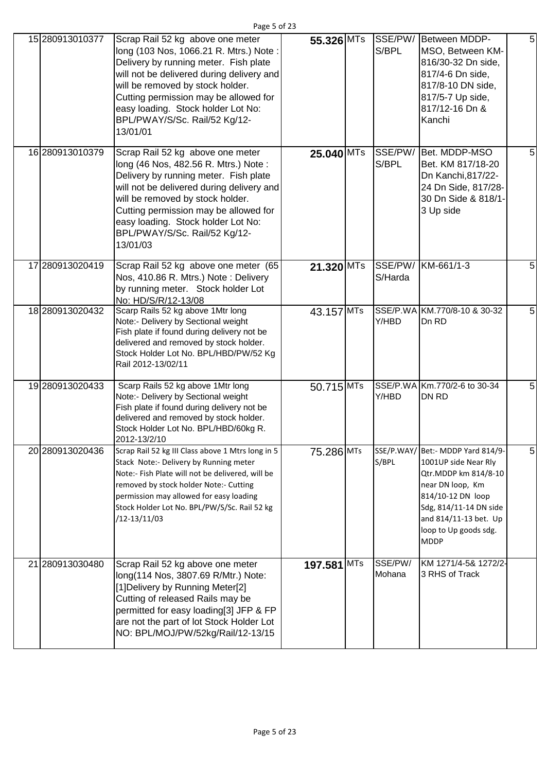| 15 280913010377 | Scrap Rail 52 kg above one meter<br>long (103 Nos, 1066.21 R. Mtrs.) Note:<br>Delivery by running meter. Fish plate<br>will not be delivered during delivery and<br>will be removed by stock holder.<br>Cutting permission may be allowed for<br>easy loading. Stock holder Lot No:<br>BPL/PWAY/S/Sc. Rail/52 Kg/12-<br>13/01/01 | 55.326 MTs  | S/BPL             | SSE/PW/ Between MDDP-<br>MSO, Between KM-<br>816/30-32 Dn side,<br>817/4-6 Dn side,<br>817/8-10 DN side,<br>817/5-7 Up side,<br>817/12-16 Dn &<br>Kanchi                                                              | $\overline{5}$ |
|-----------------|----------------------------------------------------------------------------------------------------------------------------------------------------------------------------------------------------------------------------------------------------------------------------------------------------------------------------------|-------------|-------------------|-----------------------------------------------------------------------------------------------------------------------------------------------------------------------------------------------------------------------|----------------|
| 16 280913010379 | Scrap Rail 52 kg above one meter<br>long (46 Nos, 482.56 R. Mtrs.) Note:<br>Delivery by running meter. Fish plate<br>will not be delivered during delivery and<br>will be removed by stock holder.<br>Cutting permission may be allowed for<br>easy loading. Stock holder Lot No:<br>BPL/PWAY/S/Sc. Rail/52 Kg/12-<br>13/01/03   | 25.040 MTs  | S/BPL             | SSE/PW/ Bet. MDDP-MSO<br>Bet. KM 817/18-20<br>Dn Kanchi, 817/22-<br>24 Dn Side, 817/28-<br>30 Dn Side & 818/1-<br>3 Up side                                                                                           | 5              |
| 17 280913020419 | Scrap Rail 52 kg above one meter (65<br>Nos, 410.86 R. Mtrs.) Note: Delivery<br>by running meter. Stock holder Lot<br>No: HD/S/R/12-13/08                                                                                                                                                                                        | 21.320 MTs  | S/Harda           | SSE/PW/ KM-661/1-3                                                                                                                                                                                                    | 5              |
| 18 280913020432 | Scarp Rails 52 kg above 1Mtr long<br>Note:- Delivery by Sectional weight<br>Fish plate if found during delivery not be<br>delivered and removed by stock holder.<br>Stock Holder Lot No. BPL/HBD/PW/52 Kg<br>Rail 2012-13/02/11                                                                                                  | 43.157 MTs  | Y/HBD             | SSE/P.WA KM.770/8-10 & 30-32<br>Dn RD                                                                                                                                                                                 | 5              |
| 19 280913020433 | Scarp Rails 52 kg above 1Mtr long<br>Note:- Delivery by Sectional weight<br>Fish plate if found during delivery not be<br>delivered and removed by stock holder.<br>Stock Holder Lot No. BPL/HBD/60kg R.<br>2012-13/2/10                                                                                                         | 50.715 MTs  | Y/HBD             | SSE/P.WA Km.770/2-6 to 30-34<br><b>DN RD</b>                                                                                                                                                                          | 5              |
| 20 280913020436 | Scrap Rail 52 kg III Class above 1 Mtrs long in 5<br>Stack Note:- Delivery by Running meter<br>Note:- Fish Plate will not be delivered, will be<br>removed by stock holder Note:- Cutting<br>permission may allowed for easy loading<br>Stock Holder Lot No. BPL/PW/S/Sc. Rail 52 kg<br>/12-13/11/03                             | 75.286 MTs  | S/BPL             | SSE/P.WAY/ Bet:- MDDP Yard 814/9-<br>1001UP side Near Rly<br>Qtr.MDDP km 814/8-10<br>near DN loop, Km<br>814/10-12 DN loop<br>Sdg, 814/11-14 DN side<br>and 814/11-13 bet. Up<br>loop to Up goods sdg.<br><b>MDDP</b> | 5              |
| 21 280913030480 | Scrap Rail 52 kg above one meter<br>long(114 Nos, 3807.69 R/Mtr.) Note:<br>[1] Delivery by Running Meter[2]<br>Cutting of released Rails may be<br>permitted for easy loading[3] JFP & FP<br>are not the part of lot Stock Holder Lot<br>NO: BPL/MOJ/PW/52kg/Rail/12-13/15                                                       | 197.581 MTs | SSE/PW/<br>Mohana | KM 1271/4-5& 1272/2-<br>3 RHS of Track                                                                                                                                                                                |                |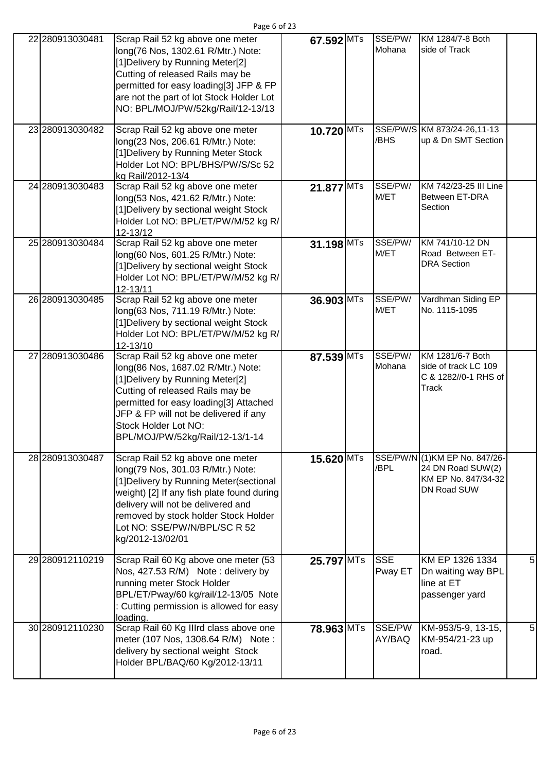| 22 280913030481 | Scrap Rail 52 kg above one meter<br>long(76 Nos, 1302.61 R/Mtr.) Note:<br>[1] Delivery by Running Meter[2]<br>Cutting of released Rails may be<br>permitted for easy loading[3] JFP & FP<br>are not the part of lot Stock Holder Lot<br>NO: BPL/MOJ/PW/52kg/Rail/12-13/13                         | 67.592 MTs | SSE/PW/<br>Mohana     | KM 1284/7-8 Both<br>side of Track                                                         |   |
|-----------------|---------------------------------------------------------------------------------------------------------------------------------------------------------------------------------------------------------------------------------------------------------------------------------------------------|------------|-----------------------|-------------------------------------------------------------------------------------------|---|
| 23 280913030482 | Scrap Rail 52 kg above one meter<br>long(23 Nos, 206.61 R/Mtr.) Note:<br>[1] Delivery by Running Meter Stock<br>Holder Lot NO: BPL/BHS/PW/S/Sc 52<br>kg Rail/2012-13/4                                                                                                                            | 10.720 MTs | /BHS                  | SSE/PW/S KM 873/24-26,11-13<br>up & Dn SMT Section                                        |   |
| 24 280913030483 | Scrap Rail 52 kg above one meter<br>long(53 Nos, 421.62 R/Mtr.) Note:<br>[1] Delivery by sectional weight Stock<br>Holder Lot NO: BPL/ET/PW/M/52 kg R/<br>12-13/12                                                                                                                                | 21.877 MTs | SSE/PW/<br>M/ET       | KM 742/23-25 III Line<br>Between ET-DRA<br>Section                                        |   |
| 25 280913030484 | Scrap Rail 52 kg above one meter<br>long(60 Nos, 601.25 R/Mtr.) Note:<br>[1] Delivery by sectional weight Stock<br>Holder Lot NO: BPL/ET/PW/M/52 kg R/<br>12-13/11                                                                                                                                | 31.198 MTs | SSE/PW/<br>M/ET       | KM 741/10-12 DN<br>Road Between ET-<br><b>DRA</b> Section                                 |   |
| 26 280913030485 | Scrap Rail 52 kg above one meter<br>long(63 Nos, 711.19 R/Mtr.) Note:<br>[1] Delivery by sectional weight Stock<br>Holder Lot NO: BPL/ET/PW/M/52 kg R/<br>12-13/10                                                                                                                                | 36.903 MTs | SSE/PW/<br>M/ET       | Vardhman Siding EP<br>No. 1115-1095                                                       |   |
| 27 280913030486 | Scrap Rail 52 kg above one meter<br>long(86 Nos, 1687.02 R/Mtr.) Note:<br>[1] Delivery by Running Meter[2]<br>Cutting of released Rails may be<br>permitted for easy loading[3] Attached<br>JFP & FP will not be delivered if any<br>Stock Holder Lot NO:<br>BPL/MOJ/PW/52kg/Rail/12-13/1-14      | 87.539 MTs | SSE/PW/<br>Mohana     | KM 1281/6-7 Both<br>side of track LC 109<br>C & 1282//0-1 RHS of<br>Track                 |   |
| 28 280913030487 | Scrap Rail 52 kg above one meter<br>long(79 Nos, 301.03 R/Mtr.) Note:<br>[1] Delivery by Running Meter (sectional<br>weight) [2] If any fish plate found during<br>delivery will not be delivered and<br>removed by stock holder Stock Holder<br>Lot NO: SSE/PW/N/BPL/SC R 52<br>kg/2012-13/02/01 | 15.620 MTs | /BPL                  | SSE/PW/N (1) KM EP No. 847/26-<br>24 DN Road SUW(2)<br>KM EP No. 847/34-32<br>DN Road SUW |   |
| 29 280912110219 | Scrap Rail 60 Kg above one meter (53<br>Nos, 427.53 R/M) Note: delivery by<br>running meter Stock Holder<br>BPL/ET/Pway/60 kg/rail/12-13/05 Note<br>Cutting permission is allowed for easy<br>loading.                                                                                            | 25.797 MTs | <b>SSE</b><br>Pway ET | KM EP 1326 1334<br>Dn waiting way BPL<br>line at ET<br>passenger yard                     | 5 |
| 30 280912110230 | Scrap Rail 60 Kg Illrd class above one<br>meter (107 Nos, 1308.64 R/M) Note:<br>delivery by sectional weight Stock<br>Holder BPL/BAQ/60 Kg/2012-13/11                                                                                                                                             | 78.963 MTs | SSE/PW<br>AY/BAQ      | KM-953/5-9, 13-15,<br>KM-954/21-23 up<br>road.                                            | 5 |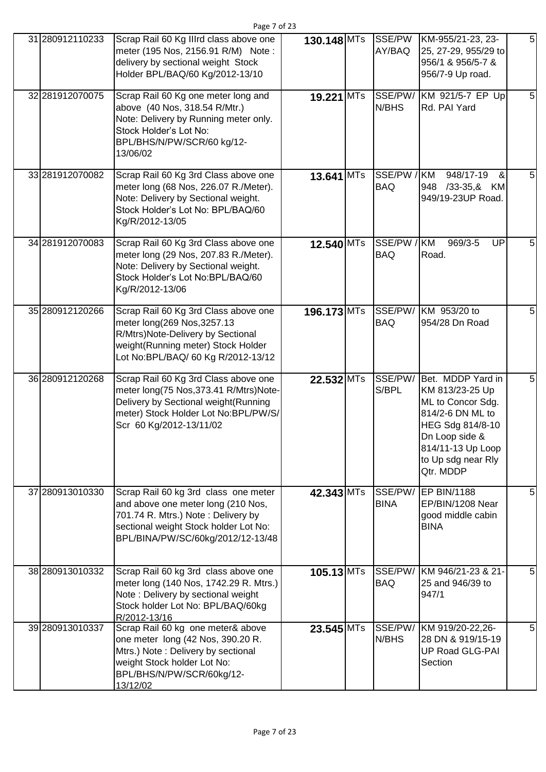|                 | Page 7 of 23                                                                                                                                                                                   |              |                        |                                                                                                                                                                             |   |
|-----------------|------------------------------------------------------------------------------------------------------------------------------------------------------------------------------------------------|--------------|------------------------|-----------------------------------------------------------------------------------------------------------------------------------------------------------------------------|---|
| 31 280912110233 | Scrap Rail 60 Kg IIIrd class above one<br>meter (195 Nos, 2156.91 R/M) Note:<br>delivery by sectional weight Stock<br>Holder BPL/BAQ/60 Kg/2012-13/10                                          | 130.148 MTs  | SSE/PW<br>AY/BAQ       | KM-955/21-23, 23-<br>25, 27-29, 955/29 to<br>956/1 & 956/5-7 &<br>956/7-9 Up road.                                                                                          | 5 |
| 32 281912070075 | Scrap Rail 60 Kg one meter long and<br>above (40 Nos, 318.54 R/Mtr.)<br>Note: Delivery by Running meter only.<br>Stock Holder's Lot No:<br>BPL/BHS/N/PW/SCR/60 kg/12-<br>13/06/02              | 19.221 MTs   | SSE/PW/<br>N/BHS       | KM 921/5-7 EP Up<br>Rd. PAI Yard                                                                                                                                            | 5 |
| 33 281912070082 | Scrap Rail 60 Kg 3rd Class above one<br>meter long (68 Nos, 226.07 R./Meter).<br>Note: Delivery by Sectional weight.<br>Stock Holder's Lot No: BPL/BAQ/60<br>Kg/R/2012-13/05                   | 13.641 MTs   | SSE/PW /<br><b>BAQ</b> | <b>KM</b><br>948/17-19<br>&<br>/33-35,& KM<br>948<br>949/19-23UP Road.                                                                                                      |   |
| 34 281912070083 | Scrap Rail 60 Kg 3rd Class above one<br>meter long (29 Nos, 207.83 R./Meter).<br>Note: Delivery by Sectional weight.<br>Stock Holder's Lot No:BPL/BAQ/60<br>Kg/R/2012-13/06                    | 12.540 MTs   | SSE/PW /<br><b>BAQ</b> | <b>KM</b><br>969/3-5<br>UP<br>Road.                                                                                                                                         | 5 |
| 35 280912120266 | Scrap Rail 60 Kg 3rd Class above one<br>meter long(269 Nos, 3257.13<br>R/Mtrs)Note-Delivery by Sectional<br>weight(Running meter) Stock Holder<br>Lot No:BPL/BAQ/ 60 Kg R/2012-13/12           | 196.173 MTs  | SSE/PW/<br><b>BAQ</b>  | KM 953/20 to<br>954/28 Dn Road                                                                                                                                              | 5 |
| 36 280912120268 | Scrap Rail 60 Kg 3rd Class above one<br>meter long(75 Nos, 373.41 R/Mtrs)Note-<br>Delivery by Sectional weight (Running<br>meter) Stock Holder Lot No:BPL/PW/S/<br>Scr 60 Kg/2012-13/11/02     | 22.532 MTs   | SSE/PW/<br>S/BPL       | Bet. MDDP Yard in<br>KM 813/23-25 Up<br>ML to Concor Sdg.<br>814/2-6 DN ML to<br>HEG Sdg 814/8-10<br>Dn Loop side &<br>814/11-13 Up Loop<br>to Up sdg near Rly<br>Qtr. MDDP | 5 |
| 37 280913010330 | Scrap Rail 60 kg 3rd class one meter<br>and above one meter long (210 Nos,<br>701.74 R. Mtrs.) Note: Delivery by<br>sectional weight Stock holder Lot No:<br>BPL/BINA/PW/SC/60kg/2012/12-13/48 | 42.343 MTs   | SSE/PW/<br><b>BINA</b> | <b>EP BIN/1188</b><br>EP/BIN/1208 Near<br>good middle cabin<br><b>BINA</b>                                                                                                  | 5 |
| 38 280913010332 | Scrap Rail 60 kg 3rd class above one<br>meter long (140 Nos, 1742.29 R. Mtrs.)<br>Note: Delivery by sectional weight<br>Stock holder Lot No: BPL/BAQ/60kg<br>R/2012-13/16                      | $105.13$ MTs | SSE/PW/<br><b>BAQ</b>  | KM 946/21-23 & 21-<br>25 and 946/39 to<br>947/1                                                                                                                             | 5 |
| 39 280913010337 | Scrap Rail 60 kg one meter& above<br>one meter long (42 Nos, 390.20 R.<br>Mtrs.) Note: Delivery by sectional<br>weight Stock holder Lot No:<br>BPL/BHS/N/PW/SCR/60kg/12-<br>13/12/02           | $23.545$ MTs | SSE/PW/<br>N/BHS       | KM 919/20-22,26-<br>28 DN & 919/15-19<br>UP Road GLG-PAI<br>Section                                                                                                         | 5 |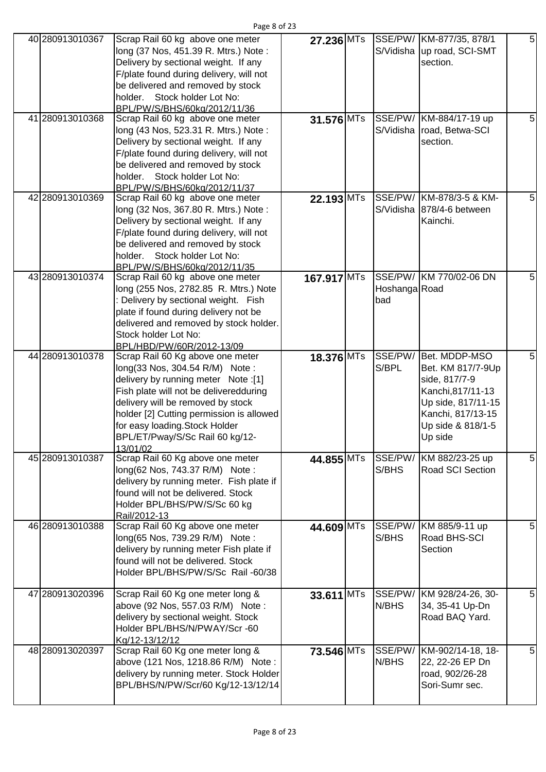| 40 280913010367 | Scrap Rail 60 kg above one meter<br>long (37 Nos, 451.39 R. Mtrs.) Note:<br>Delivery by sectional weight. If any<br>F/plate found during delivery, will not<br>be delivered and removed by stock<br>holder. Stock holder Lot No:                                                                                      | 27.236 MTs   |                      | SSE/PW/ KM-877/35, 878/1<br>S/Vidisha up road, SCI-SMT<br>section.                                                                                  | 5              |
|-----------------|-----------------------------------------------------------------------------------------------------------------------------------------------------------------------------------------------------------------------------------------------------------------------------------------------------------------------|--------------|----------------------|-----------------------------------------------------------------------------------------------------------------------------------------------------|----------------|
|                 | BPL/PW/S/BHS/60kg/2012/11/36                                                                                                                                                                                                                                                                                          |              |                      |                                                                                                                                                     |                |
| 41 280913010368 | Scrap Rail 60 kg above one meter<br>long (43 Nos, 523.31 R. Mtrs.) Note:<br>Delivery by sectional weight. If any<br>F/plate found during delivery, will not<br>be delivered and removed by stock                                                                                                                      | $31.576$ MTs |                      | SSE/PW/ KM-884/17-19 up<br>S/Vidisha road, Betwa-SCI<br>section.                                                                                    | 5 <sub>5</sub> |
|                 | holder. Stock holder Lot No:                                                                                                                                                                                                                                                                                          |              |                      |                                                                                                                                                     |                |
|                 | BPL/PW/S/BHS/60kg/2012/11/37                                                                                                                                                                                                                                                                                          |              |                      |                                                                                                                                                     |                |
| 42 280913010369 | Scrap Rail 60 kg above one meter<br>long (32 Nos, 367.80 R. Mtrs.) Note:<br>Delivery by sectional weight. If any<br>F/plate found during delivery, will not<br>be delivered and removed by stock<br>holder. Stock holder Lot No:<br>BPL/PW/S/BHS/60kg/2012/11/35                                                      | $22.193$ MTs |                      | SSE/PW/ KM-878/3-5 & KM-<br>S/Vidisha 878/4-6 between<br>Kainchi.                                                                                   | 5              |
| 43 280913010374 | Scrap Rail 60 kg above one meter<br>long (255 Nos, 2782.85 R. Mtrs.) Note<br>: Delivery by sectional weight. Fish<br>plate if found during delivery not be<br>delivered and removed by stock holder.<br>Stock holder Lot No:<br>BPL/HBD/PW/60R/2012-13/09                                                             | 167.917 MTs  | Hoshanga Road<br>bad | SSE/PW/ KM 770/02-06 DN                                                                                                                             | 5              |
| 44 280913010378 | Scrap Rail 60 Kg above one meter<br>long(33 Nos, 304.54 R/M) Note:<br>delivery by running meter Note :[1]<br>Fish plate will not be deliveredduring<br>delivery will be removed by stock<br>holder [2] Cutting permission is allowed<br>for easy loading. Stock Holder<br>BPL/ET/Pway/S/Sc Rail 60 kg/12-<br>13/01/02 | $18.376$ MTs | SSE/PW/<br>S/BPL     | Bet. MDDP-MSO<br>Bet. KM 817/7-9Up<br>side, 817/7-9<br>Kanchi, 817/11-13<br>Up side, 817/11-15<br>Kanchi, 817/13-15<br>Up side & 818/1-5<br>Up side | 5              |
| 45 280913010387 | Scrap Rail 60 Kg above one meter<br>long(62 Nos, 743.37 R/M) Note:<br>delivery by running meter. Fish plate if<br>found will not be delivered. Stock<br>Holder BPL/BHS/PW/S/Sc 60 kg<br>Rail/2012-13                                                                                                                  | 44.855 MTs   | SSE/PW/<br>S/BHS     | KM 882/23-25 up<br>Road SCI Section                                                                                                                 | 5              |
| 46 280913010388 | Scrap Rail 60 Kg above one meter<br>long(65 Nos, 739.29 R/M) Note:<br>delivery by running meter Fish plate if<br>found will not be delivered. Stock<br>Holder BPL/BHS/PW/S/Sc Rail -60/38                                                                                                                             | 44.609 MTs   | S/BHS                | SSE/PW/ KM 885/9-11 up<br>Road BHS-SCI<br>Section                                                                                                   | 5              |
| 47 280913020396 | Scrap Rail 60 Kg one meter long &<br>above (92 Nos, 557.03 R/M) Note:<br>delivery by sectional weight. Stock<br>Holder BPL/BHS/N/PWAY/Scr -60<br>Kg/12-13/12/12                                                                                                                                                       | 33.611 MTs   | N/BHS                | SSE/PW/ KM 928/24-26, 30-<br>34, 35-41 Up-Dn<br>Road BAQ Yard.                                                                                      | 5 <sub>l</sub> |
| 48 280913020397 | Scrap Rail 60 Kg one meter long &<br>above (121 Nos, 1218.86 R/M) Note:<br>delivery by running meter. Stock Holder<br>BPL/BHS/N/PW/Scr/60 Kg/12-13/12/14                                                                                                                                                              | 73.546 MTs   | SSE/PW/<br>N/BHS     | KM-902/14-18, 18-<br>22, 22-26 EP Dn<br>road, 902/26-28<br>Sori-Sumr sec.                                                                           | 5              |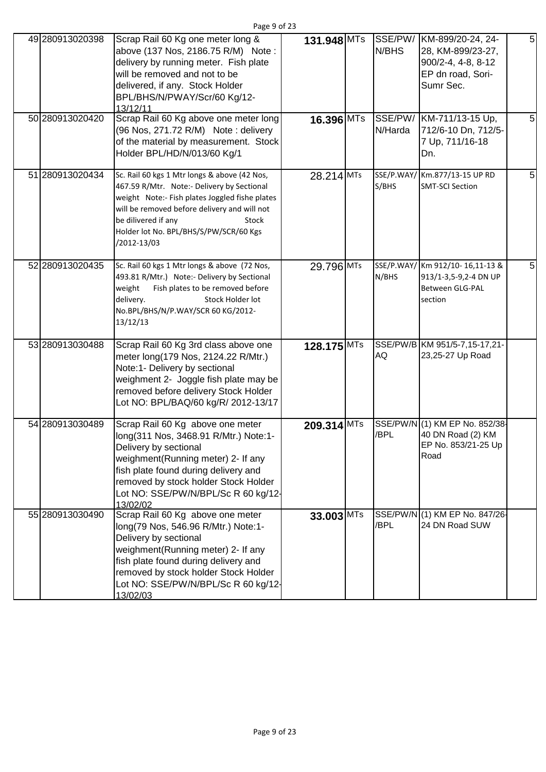| 49 280913020398 | Scrap Rail 60 Kg one meter long &<br>above (137 Nos, 2186.75 R/M) Note:                                                                                                                                                                                                               | 131.948 MTs  | N/BHS               | SSE/PW/ KM-899/20-24, 24-<br>28, KM-899/23-27,                                         | 5 |
|-----------------|---------------------------------------------------------------------------------------------------------------------------------------------------------------------------------------------------------------------------------------------------------------------------------------|--------------|---------------------|----------------------------------------------------------------------------------------|---|
|                 | delivery by running meter. Fish plate<br>will be removed and not to be<br>delivered, if any. Stock Holder<br>BPL/BHS/N/PWAY/Scr/60 Kg/12-<br>13/12/11                                                                                                                                 |              |                     | 900/2-4, 4-8, 8-12<br>EP dn road, Sori-<br>Sumr Sec.                                   |   |
| 50 280913020420 | Scrap Rail 60 Kg above one meter long<br>(96 Nos, 271.72 R/M) Note: delivery<br>of the material by measurement. Stock<br>Holder BPL/HD/N/013/60 Kg/1                                                                                                                                  | 16.396 MTs   | N/Harda             | SSE/PW/ KM-711/13-15 Up,<br>712/6-10 Dn, 712/5-<br>7 Up, 711/16-18<br>Dn.              | 5 |
| 51 280913020434 | Sc. Rail 60 kgs 1 Mtr longs & above (42 Nos,<br>467.59 R/Mtr. Note:- Delivery by Sectional<br>weight Note:- Fish plates Joggled fishe plates<br>will be removed before delivery and will not<br>be dilivered if any<br>Stock<br>Holder lot No. BPL/BHS/S/PW/SCR/60 Kgs<br>/2012-13/03 | 28.214 MTs   | SSE/P.WAY/<br>S/BHS | Km.877/13-15 UP RD<br><b>SMT-SCI Section</b>                                           | 5 |
| 52 280913020435 | Sc. Rail 60 kgs 1 Mtr longs & above (72 Nos,<br>493.81 R/Mtr.) Note:- Delivery by Sectional<br>weight<br>Fish plates to be removed before<br>delivery.<br>Stock Holder lot<br>No.BPL/BHS/N/P.WAY/SCR 60 KG/2012-<br>13/12/13                                                          | 29.796 MTs   | N/BHS               | SSE/P.WAY/ Km 912/10-16,11-13 &<br>913/1-3,5-9,2-4 DN UP<br>Between GLG-PAL<br>section | 5 |
| 53 280913030488 | Scrap Rail 60 Kg 3rd class above one<br>meter long(179 Nos, 2124.22 R/Mtr.)<br>Note:1- Delivery by sectional<br>weighment 2- Joggle fish plate may be<br>removed before delivery Stock Holder<br>Lot NO: BPL/BAQ/60 kg/R/ 2012-13/17                                                  | 128.175 MTs  | <b>AQ</b>           | SSE/PW/B KM 951/5-7,15-17,21-<br>23,25-27 Up Road                                      |   |
| 54 280913030489 | Scrap Rail 60 Kg above one meter<br>long(311 Nos, 3468.91 R/Mtr.) Note:1-<br>Delivery by sectional<br>weighment(Running meter) 2- If any<br>fish plate found during delivery and<br>removed by stock holder Stock Holder<br>Lot NO: SSE/PW/N/BPL/Sc R 60 kg/12-<br>13/02/02           | 209.314 MTs  | /BPL                | SSE/PW/N (1) KM EP No. 852/38-<br>40 DN Road (2) KM<br>EP No. 853/21-25 Up<br>Road     |   |
| 55 280913030490 | Scrap Rail 60 Kg above one meter<br>long(79 Nos, 546.96 R/Mtr.) Note:1-<br>Delivery by sectional<br>weighment(Running meter) 2- If any<br>fish plate found during delivery and<br>removed by stock holder Stock Holder<br>Lot NO: SSE/PW/N/BPL/Sc R 60 kg/12-<br>13/02/03             | $33.003$ MTs | /BPL                | SSE/PW/N (1) KM EP No. 847/26-<br>24 DN Road SUW                                       |   |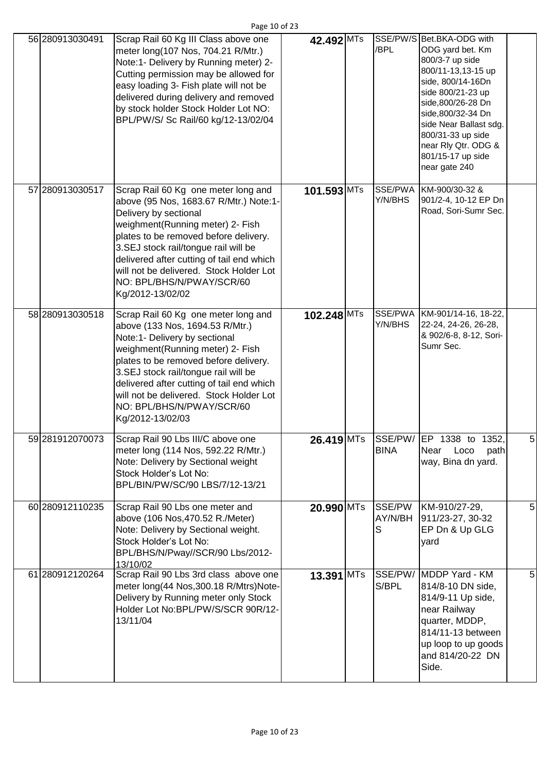| 56 280913030491 | Scrap Rail 60 Kg III Class above one<br>meter long(107 Nos, 704.21 R/Mtr.)<br>Note:1- Delivery by Running meter) 2-<br>Cutting permission may be allowed for<br>easy loading 3- Fish plate will not be<br>delivered during delivery and removed<br>by stock holder Stock Holder Lot NO:<br>BPL/PW/S/ Sc Rail/60 kg/12-13/02/04                                        | 42.492 MTs               | /BPL                   | SSE/PW/S Bet.BKA-ODG with<br>ODG yard bet. Km<br>800/3-7 up side<br>800/11-13,13-15 up<br>side, 800/14-16Dn<br>side 800/21-23 up<br>side, 800/26-28 Dn<br>side, 800/32-34 Dn<br>side Near Ballast sdg.<br>800/31-33 up side<br>near Rly Qtr. ODG &<br>801/15-17 up side<br>near gate 240 |   |
|-----------------|-----------------------------------------------------------------------------------------------------------------------------------------------------------------------------------------------------------------------------------------------------------------------------------------------------------------------------------------------------------------------|--------------------------|------------------------|------------------------------------------------------------------------------------------------------------------------------------------------------------------------------------------------------------------------------------------------------------------------------------------|---|
| 57 280913030517 | Scrap Rail 60 Kg one meter long and<br>above (95 Nos, 1683.67 R/Mtr.) Note:1-<br>Delivery by sectional<br>weighment(Running meter) 2- Fish<br>plates to be removed before delivery.<br>3.SEJ stock rail/tongue rail will be<br>delivered after cutting of tail end which<br>will not be delivered. Stock Holder Lot<br>NO: BPL/BHS/N/PWAY/SCR/60<br>Kg/2012-13/02/02  | $101.593$ <sup>MTs</sup> | SSE/PWA<br>Y/N/BHS     | KM-900/30-32 &<br>901/2-4, 10-12 EP Dn<br>Road, Sori-Sumr Sec.                                                                                                                                                                                                                           |   |
| 58 280913030518 | Scrap Rail 60 Kg one meter long and<br>above (133 Nos, 1694.53 R/Mtr.)<br>Note:1- Delivery by sectional<br>weighment(Running meter) 2- Fish<br>plates to be removed before delivery.<br>3.SEJ stock rail/tongue rail will be<br>delivered after cutting of tail end which<br>will not be delivered. Stock Holder Lot<br>NO: BPL/BHS/N/PWAY/SCR/60<br>Kg/2012-13/02/03 | 102.248 MTs              | SSE/PWA<br>Y/N/BHS     | KM-901/14-16, 18-22,<br>22-24, 24-26, 26-28,<br>& 902/6-8, 8-12, Sori-<br>Sumr Sec.                                                                                                                                                                                                      |   |
| 59 281912070073 | Scrap Rail 90 Lbs III/C above one<br>meter long (114 Nos, 592.22 R/Mtr.)<br>Note: Delivery by Sectional weight<br>Stock Holder's Lot No:<br>BPL/BIN/PW/SC/90 LBS/7/12-13/21                                                                                                                                                                                           | 26.419 MTs               | <b>BINA</b>            | SSE/PW/ EP 1338 to 1352,<br>Near<br>path<br>Loco<br>way, Bina dn yard.                                                                                                                                                                                                                   | 5 |
| 60 280912110235 | Scrap Rail 90 Lbs one meter and<br>above (106 Nos, 470.52 R./Meter)<br>Note: Delivery by Sectional weight.<br>Stock Holder's Lot No:<br>BPL/BHS/N/Pway//SCR/90 Lbs/2012-<br>13/10/02                                                                                                                                                                                  | 20.990 MTs               | SSE/PW<br>AY/N/BH<br>S | KM-910/27-29,<br>911/23-27, 30-32<br>EP Dn & Up GLG<br>yard                                                                                                                                                                                                                              | 5 |
| 61 280912120264 | Scrap Rail 90 Lbs 3rd class above one<br>meter long(44 Nos, 300.18 R/Mtrs)Note-<br>Delivery by Running meter only Stock<br>Holder Lot No:BPL/PW/S/SCR 90R/12-<br>13/11/04                                                                                                                                                                                             | 13.391 MTs               | S/BPL                  | SSE/PW/ MDDP Yard - KM<br>814/8-10 DN side,<br>814/9-11 Up side,<br>near Railway<br>quarter, MDDP,<br>814/11-13 between<br>up loop to up goods<br>and 814/20-22 DN<br>Side.                                                                                                              | 5 |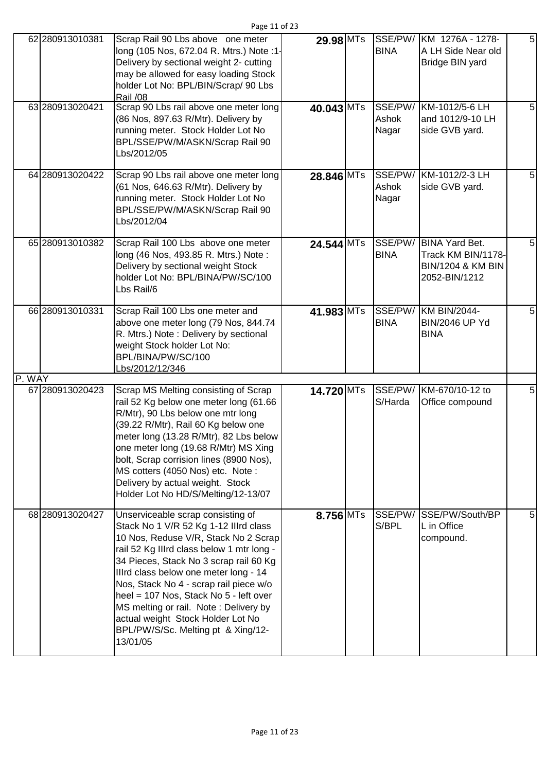|        | 62 280913010381 | Scrap Rail 90 Lbs above one meter<br>long (105 Nos, 672.04 R. Mtrs.) Note :1-<br>Delivery by sectional weight 2- cutting<br>may be allowed for easy loading Stock<br>holder Lot No: BPL/BIN/Scrap/ 90 Lbs<br><b>Rail /08</b>                                                                                                                                                                                                                                           | 29.98 MTs    | <b>BINA</b>            | SSE/PW/ KM 1276A - 1278-<br>A LH Side Near old<br>Bridge BIN yard                            | 5 |
|--------|-----------------|------------------------------------------------------------------------------------------------------------------------------------------------------------------------------------------------------------------------------------------------------------------------------------------------------------------------------------------------------------------------------------------------------------------------------------------------------------------------|--------------|------------------------|----------------------------------------------------------------------------------------------|---|
|        | 63 280913020421 | Scrap 90 Lbs rail above one meter long<br>(86 Nos, 897.63 R/Mtr). Delivery by<br>running meter. Stock Holder Lot No<br>BPL/SSE/PW/M/ASKN/Scrap Rail 90<br>Lbs/2012/05                                                                                                                                                                                                                                                                                                  | 40.043 MTs   | Ashok<br>Nagar         | SSE/PW/ KM-1012/5-6 LH<br>and 1012/9-10 LH<br>side GVB yard.                                 | 5 |
|        | 64 280913020422 | Scrap 90 Lbs rail above one meter long<br>(61 Nos, 646.63 R/Mtr). Delivery by<br>running meter. Stock Holder Lot No<br>BPL/SSE/PW/M/ASKN/Scrap Rail 90<br>Lbs/2012/04                                                                                                                                                                                                                                                                                                  | 28.846 MTs   | Ashok<br>Nagar         | SSE/PW/ KM-1012/2-3 LH<br>side GVB yard.                                                     | 5 |
|        | 65 280913010382 | Scrap Rail 100 Lbs above one meter<br>long (46 Nos, 493.85 R. Mtrs.) Note:<br>Delivery by sectional weight Stock<br>holder Lot No: BPL/BINA/PW/SC/100<br>Lbs Rail/6                                                                                                                                                                                                                                                                                                    | $24.544$ MTs | SSE/PW/<br><b>BINA</b> | <b>BINA Yard Bet.</b><br>Track KM BIN/1178-<br><b>BIN/1204 &amp; KM BIN</b><br>2052-BIN/1212 | 5 |
|        | 66 280913010331 | Scrap Rail 100 Lbs one meter and<br>above one meter long (79 Nos, 844.74<br>R. Mtrs.) Note: Delivery by sectional<br>weight Stock holder Lot No:<br>BPL/BINA/PW/SC/100<br>Lbs/2012/12/346                                                                                                                                                                                                                                                                              | 41.983 MTs   | <b>BINA</b>            | SSE/PW/ KM BIN/2044-<br><b>BIN/2046 UP Yd</b><br><b>BINA</b>                                 | 5 |
| P. WAY |                 |                                                                                                                                                                                                                                                                                                                                                                                                                                                                        |              |                        |                                                                                              |   |
|        | 67 280913020423 | Scrap MS Melting consisting of Scrap<br>rail 52 Kg below one meter long (61.66<br>R/Mtr), 90 Lbs below one mtr long<br>(39.22 R/Mtr), Rail 60 Kg below one<br>meter long (13.28 R/Mtr), 82 Lbs below<br>one meter long (19.68 R/Mtr) MS Xing<br>bolt, Scrap corrision lines (8900 Nos),<br>MS cotters (4050 Nos) etc. Note:<br>Delivery by actual weight. Stock<br>Holder Lot No HD/S/Melting/12-13/07                                                                 | 14.720 MTs   | S/Harda                | SSE/PW/ KM-670/10-12 to<br>Office compound                                                   | 5 |
|        | 68 280913020427 | Unserviceable scrap consisting of<br>Stack No 1 V/R 52 Kg 1-12 Illrd class<br>10 Nos, Reduse V/R, Stack No 2 Scrap<br>rail 52 Kg Illrd class below 1 mtr long -<br>34 Pieces, Stack No 3 scrap rail 60 Kg<br>Illrd class below one meter long - 14<br>Nos, Stack No 4 - scrap rail piece w/o<br>heel = 107 Nos, Stack No 5 - left over<br>MS melting or rail. Note: Delivery by<br>actual weight Stock Holder Lot No<br>BPL/PW/S/Sc. Melting pt & Xing/12-<br>13/01/05 | 8.756 MTs    | SSE/PW/<br>S/BPL       | SSE/PW/South/BP<br>L in Office<br>compound.                                                  | 5 |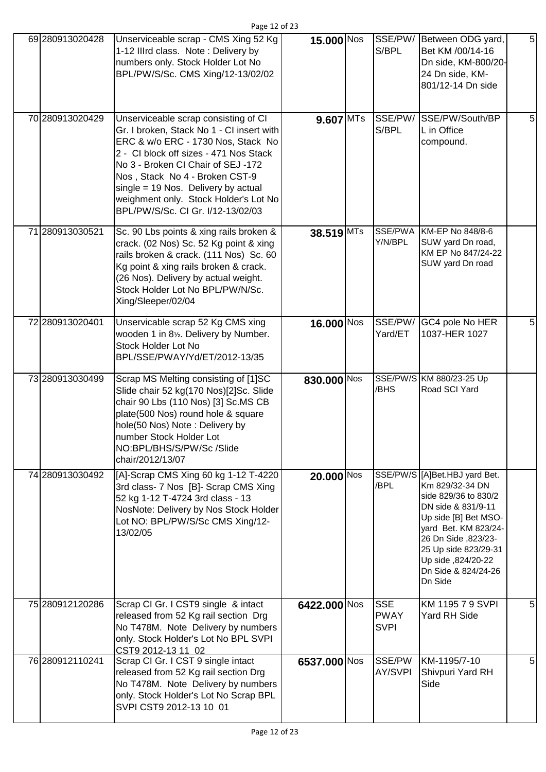| 69 280913020428 | Unserviceable scrap - CMS Xing 52 Kg<br>1-12 IIIrd class. Note: Delivery by<br>numbers only. Stock Holder Lot No<br>BPL/PW/S/Sc. CMS Xing/12-13/02/02                                                                                                                                                                                                          | 15.000 Nos   | S/BPL                                    | SSE/PW/ Between ODG yard,<br>Bet KM /00/14-16<br>Dn side, KM-800/20-<br>24 Dn side, KM-<br>801/12-14 Dn side                                                                                                                                           | 5 |
|-----------------|----------------------------------------------------------------------------------------------------------------------------------------------------------------------------------------------------------------------------------------------------------------------------------------------------------------------------------------------------------------|--------------|------------------------------------------|--------------------------------------------------------------------------------------------------------------------------------------------------------------------------------------------------------------------------------------------------------|---|
| 70 280913020429 | Unserviceable scrap consisting of CI<br>Gr. I broken, Stack No 1 - CI insert with<br>ERC & w/o ERC - 1730 Nos, Stack No<br>2 - Cl block off sizes - 471 Nos Stack<br>No 3 - Broken CI Chair of SEJ -172<br>Nos, Stack No 4 - Broken CST-9<br>single = 19 Nos. Delivery by actual<br>weighment only. Stock Holder's Lot No<br>BPL/PW/S/Sc. CI Gr. I/12-13/02/03 | 9.607 MTs    | S/BPL                                    | SSE/PW/ SSE/PW/South/BP<br>L in Office<br>compound.                                                                                                                                                                                                    | 5 |
| 71 280913030521 | Sc. 90 Lbs points & xing rails broken &<br>crack. (02 Nos) Sc. 52 Kg point & xing<br>rails broken & crack. (111 Nos) Sc. 60<br>Kg point & xing rails broken & crack.<br>(26 Nos). Delivery by actual weight.<br>Stock Holder Lot No BPL/PW/N/Sc.<br>Xing/Sleeper/02/04                                                                                         | 38.519 MTs   | Y/N/BPL                                  | SSE/PWA KM-EP No 848/8-6<br>SUW yard Dn road,<br>KM EP No 847/24-22<br>SUW yard Dn road                                                                                                                                                                |   |
| 72 280913020401 | Unservicable scrap 52 Kg CMS xing<br>wooden 1 in 81/2. Delivery by Number.<br>Stock Holder Lot No<br>BPL/SSE/PWAY/Yd/ET/2012-13/35                                                                                                                                                                                                                             | 16.000 Nos   | Yard/ET                                  | SSE/PW/ GC4 pole No HER<br>1037-HER 1027                                                                                                                                                                                                               | 5 |
| 73 280913030499 | Scrap MS Melting consisting of [1]SC<br>Slide chair 52 kg(170 Nos)[2]Sc. Slide<br>chair 90 Lbs (110 Nos) [3] Sc.MS CB<br>plate(500 Nos) round hole & square<br>hole(50 Nos) Note: Delivery by<br>number Stock Holder Lot<br>NO:BPL/BHS/S/PW/Sc /Slide<br>chair/2012/13/07                                                                                      | 830.000 Nos  | /BHS                                     | SSE/PW/S KM 880/23-25 Up<br>Road SCI Yard                                                                                                                                                                                                              |   |
| 74 280913030492 | [A]-Scrap CMS Xing 60 kg 1-12 T-4220<br>3rd class- 7 Nos [B]- Scrap CMS Xing<br>52 kg 1-12 T-4724 3rd class - 13<br>NosNote: Delivery by Nos Stock Holder<br>Lot NO: BPL/PW/S/Sc CMS Xing/12-<br>13/02/05                                                                                                                                                      | $20.000$ Nos | /BPL                                     | SSE/PW/S [A]Bet.HBJ yard Bet.<br>Km 829/32-34 DN<br>side 829/36 to 830/2<br>DN side & 831/9-11<br>Up side [B] Bet MSO-<br>yard Bet. KM 823/24-<br>26 Dn Side , 823/23-<br>25 Up side 823/29-31<br>Up side ,824/20-22<br>Dn Side & 824/24-26<br>Dn Side |   |
| 75 280912120286 | Scrap CI Gr. I CST9 single & intact<br>released from 52 Kg rail section Drg<br>No T478M. Note Delivery by numbers<br>only. Stock Holder's Lot No BPL SVPI<br>CST9 2012-13 11 02                                                                                                                                                                                | 6422.000 Nos | <b>SSE</b><br><b>PWAY</b><br><b>SVPI</b> | KM 1195 7 9 SVPI<br>Yard RH Side                                                                                                                                                                                                                       | 5 |
| 76 280912110241 | Scrap CI Gr. I CST 9 single intact<br>released from 52 Kg rail section Drg<br>No T478M. Note Delivery by numbers<br>only. Stock Holder's Lot No Scrap BPL<br>SVPI CST9 2012-13 10 01                                                                                                                                                                           | 6537.000 Nos | SSE/PW<br>AY/SVPI                        | KM-1195/7-10<br>Shivpuri Yard RH<br>Side                                                                                                                                                                                                               | 5 |

Page 12 of 23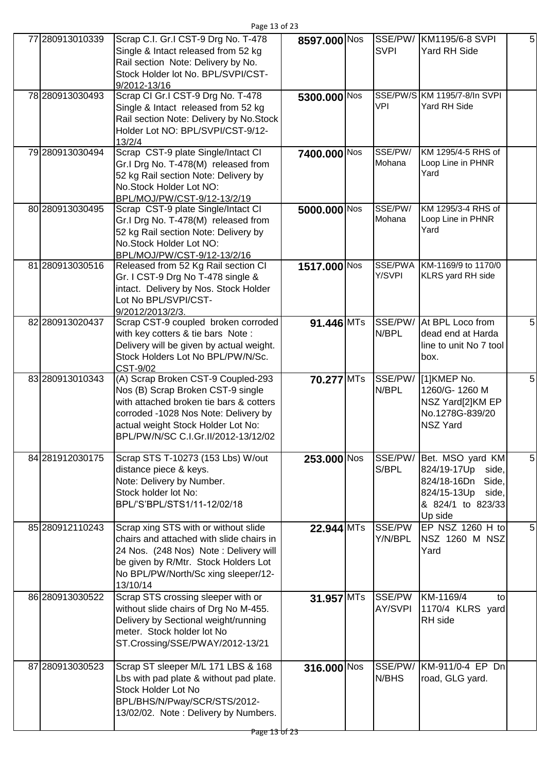| 77 280913010339 | Scrap C.I. Gr.I CST-9 Drg No. T-478<br>Single & Intact released from 52 kg<br>Rail section Note: Delivery by No.<br>Stock Holder lot No. BPL/SVPI/CST-<br>9/2012-13/16                                                                  | 8597.000 Nos                   | SSE/PW/<br><b>SVPI</b> | KM1195/6-8 SVPI<br>Yard RH Side                                                                                          | 5 |
|-----------------|-----------------------------------------------------------------------------------------------------------------------------------------------------------------------------------------------------------------------------------------|--------------------------------|------------------------|--------------------------------------------------------------------------------------------------------------------------|---|
| 78 280913030493 | Scrap CI Gr.I CST-9 Drg No. T-478<br>Single & Intact released from 52 kg<br>Rail section Note: Delivery by No. Stock<br>Holder Lot NO: BPL/SVPI/CST-9/12-<br>13/2/4                                                                     | 5300.000 Nos                   | <b>VPI</b>             | SSE/PW/S KM 1195/7-8/In SVPI<br>Yard RH Side                                                                             |   |
| 79 280913030494 | Scrap CST-9 plate Single/Intact CI<br>Gr.I Drg No. T-478(M) released from<br>52 kg Rail section Note: Delivery by<br>No.Stock Holder Lot NO:<br>BPL/MOJ/PW/CST-9/12-13/2/19                                                             | 7400.000 Nos                   | SSE/PW/<br>Mohana      | KM 1295/4-5 RHS of<br>Loop Line in PHNR<br>Yard                                                                          |   |
| 80 280913030495 | Scrap CST-9 plate Single/Intact CI<br>Gr.I Drg No. T-478(M) released from<br>52 kg Rail section Note: Delivery by<br>No.Stock Holder Lot NO:<br>BPL/MOJ/PW/CST-9/12-13/2/16                                                             | 5000.000 Nos                   | SSE/PW/<br>Mohana      | KM 1295/3-4 RHS of<br>Loop Line in PHNR<br>Yard                                                                          |   |
| 81 280913030516 | Released from 52 Kg Rail section CI<br>Gr. I CST-9 Drg No T-478 single &<br>intact. Delivery by Nos. Stock Holder<br>Lot No BPL/SVPI/CST-<br>9/2012/2013/2/3.                                                                           | 1517.000 Nos                   | SSE/PWA<br>Y/SVPI      | KM-1169/9 to 1170/0<br><b>KLRS</b> yard RH side                                                                          |   |
| 82 280913020437 | Scrap CST-9 coupled broken corroded<br>with key cotters & tie bars Note:<br>Delivery will be given by actual weight.<br>Stock Holders Lot No BPL/PW/N/Sc.<br>CST-9/02                                                                   | 91.446 MTs                     | SSE/PW/<br>N/BPL       | At BPL Loco from<br>dead end at Harda<br>line to unit No 7 tool<br>box.                                                  | 5 |
| 83 280913010343 | (A) Scrap Broken CST-9 Coupled-293<br>Nos (B) Scrap Broken CST-9 single<br>with attached broken tie bars & cotters<br>corroded -1028 Nos Note: Delivery by<br>actual weight Stock Holder Lot No:<br>BPL/PW/N/SC C.I.Gr.II/2012-13/12/02 | 70.277 MTs                     | SSE/PW/<br>N/BPL       | [1]KMEP No.<br>1260/G-1260 M<br>NSZ Yard[2]KM EP<br>No.1278G-839/20<br><b>NSZ Yard</b>                                   | 5 |
| 84 281912030175 | Scrap STS T-10273 (153 Lbs) W/out<br>distance piece & keys.<br>Note: Delivery by Number.<br>Stock holder lot No:<br>BPL/'S'BPL/STS1/11-12/02/18                                                                                         | $253.000\overline{\text{Nos}}$ | SSE/PW/<br>S/BPL       | Bet. MSO yard KM<br>824/19-17Up<br>side,<br>824/18-16Dn<br>Side,<br>824/15-13Up<br>side,<br>& 824/1 to 823/33<br>Up side | 5 |
| 85 280912110243 | Scrap xing STS with or without slide<br>chairs and attached with slide chairs in<br>24 Nos. (248 Nos) Note: Delivery will<br>be given by R/Mtr. Stock Holders Lot<br>No BPL/PW/North/Sc xing sleeper/12-<br>13/10/14                    | $22.944$ MTs                   | SSE/PW<br>Y/N/BPL      | EP NSZ 1260 H to<br>NSZ 1260 M NSZ<br>Yard                                                                               | 5 |
| 86 280913030522 | Scrap STS crossing sleeper with or<br>without slide chairs of Drg No M-455.<br>Delivery by Sectional weight/running<br>meter. Stock holder lot No<br>ST.Crossing/SSE/PWAY/2012-13/21                                                    | $31.957$ MTs                   | SSE/PW<br>AY/SVPI      | KM-1169/4<br>to<br>1170/4 KLRS yard<br>RH side                                                                           |   |
| 87 280913030523 | Scrap ST sleeper M/L 171 LBS & 168<br>Lbs with pad plate & without pad plate.<br><b>Stock Holder Lot No</b><br>BPL/BHS/N/Pway/SCR/STS/2012-<br>13/02/02. Note: Delivery by Numbers.                                                     | 316.000 Nos                    | SSE/PW/<br>N/BHS       | KM-911/0-4 EP Dn<br>road, GLG yard.                                                                                      |   |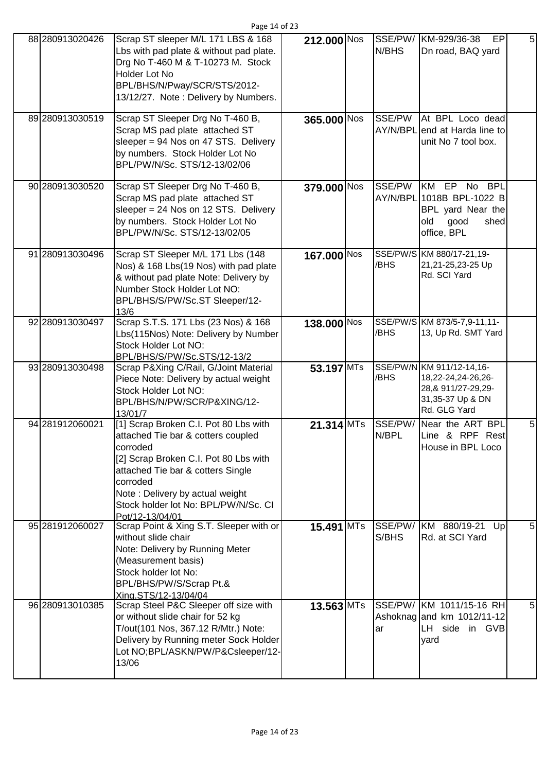| 88 280913020426 | Scrap ST sleeper M/L 171 LBS & 168      | 212.000 Nos  | SSE/PW/ | KM-929/36-38<br><b>EP</b>       | 5 |
|-----------------|-----------------------------------------|--------------|---------|---------------------------------|---|
|                 | Lbs with pad plate & without pad plate. |              | N/BHS   | Dn road, BAQ yard               |   |
|                 | Drg No T-460 M & T-10273 M. Stock       |              |         |                                 |   |
|                 | Holder Lot No                           |              |         |                                 |   |
|                 |                                         |              |         |                                 |   |
|                 | BPL/BHS/N/Pway/SCR/STS/2012-            |              |         |                                 |   |
|                 | 13/12/27. Note: Delivery by Numbers.    |              |         |                                 |   |
|                 |                                         |              |         |                                 |   |
| 89 280913030519 | Scrap ST Sleeper Drg No T-460 B,        | 365.000 Nos  | SSE/PW  | At BPL Loco dead                |   |
|                 | Scrap MS pad plate attached ST          |              |         | AY/N/BPL end at Harda line to   |   |
|                 | sleeper = 94 Nos on 47 STS. Delivery    |              |         | unit No 7 tool box.             |   |
|                 | by numbers. Stock Holder Lot No         |              |         |                                 |   |
|                 |                                         |              |         |                                 |   |
|                 | BPL/PW/N/Sc. STS/12-13/02/06            |              |         |                                 |   |
|                 |                                         |              |         |                                 |   |
| 90 280913030520 | Scrap ST Sleeper Drg No T-460 B,        | 379.000 Nos  | SSE/PW  | KM EP No BPL                    |   |
|                 | Scrap MS pad plate attached ST          |              |         | AY/N/BPL 1018B BPL-1022 B       |   |
|                 | sleeper = 24 Nos on 12 STS. Delivery    |              |         | BPL yard Near the               |   |
|                 | by numbers. Stock Holder Lot No         |              |         | old<br>good<br>shed             |   |
|                 | BPL/PW/N/Sc. STS/12-13/02/05            |              |         | office, BPL                     |   |
|                 |                                         |              |         |                                 |   |
| 91 280913030496 |                                         |              |         | SSE/PW/S KM 880/17-21,19-       |   |
|                 | Scrap ST Sleeper M/L 171 Lbs (148       | 167.000 Nos  |         |                                 |   |
|                 | Nos) & 168 Lbs(19 Nos) with pad plate   |              | /BHS    | 21,21-25,23-25 Up               |   |
|                 | & without pad plate Note: Delivery by   |              |         | Rd. SCI Yard                    |   |
|                 | Number Stock Holder Lot NO:             |              |         |                                 |   |
|                 | BPL/BHS/S/PW/Sc.ST Sleeper/12-          |              |         |                                 |   |
|                 | 13/6                                    |              |         |                                 |   |
| 92 280913030497 | Scrap S.T.S. 171 Lbs (23 Nos) & 168     | 138.000 Nos  |         | SSE/PW/S KM 873/5-7,9-11,11-    |   |
|                 | Lbs(115Nos) Note: Delivery by Number    |              | /BHS    | 13, Up Rd. SMT Yard             |   |
|                 |                                         |              |         |                                 |   |
|                 | Stock Holder Lot NO:                    |              |         |                                 |   |
|                 | BPL/BHS/S/PW/Sc.STS/12-13/2             |              |         |                                 |   |
| 93 280913030498 | Scrap P&Xing C/Rail, G/Joint Material   | 53.197 MTs   |         | SSE/PW/N KM 911/12-14,16-       |   |
|                 | Piece Note: Delivery by actual weight   |              | /BHS    | 18,22-24,24-26,26-              |   |
|                 | Stock Holder Lot NO:                    |              |         | 28, & 911/27-29, 29-            |   |
|                 | BPL/BHS/N/PW/SCR/P&XING/12-             |              |         | 31,35-37 Up & DN                |   |
|                 | 13/01/7                                 |              |         | Rd. GLG Yard                    |   |
| 94 281912060021 | [1] Scrap Broken C.I. Pot 80 Lbs with   | $21.314$ MTs | SSE/PW/ | Near the ART BPL                | 5 |
|                 |                                         |              | N/BPL   |                                 |   |
|                 | attached Tie bar & cotters coupled      |              |         | Line & RPF Rest                 |   |
|                 | corroded                                |              |         | House in BPL Loco               |   |
|                 | [2] Scrap Broken C.I. Pot 80 Lbs with   |              |         |                                 |   |
|                 | attached Tie bar & cotters Single       |              |         |                                 |   |
|                 | corroded                                |              |         |                                 |   |
|                 | Note: Delivery by actual weight         |              |         |                                 |   |
|                 | Stock holder lot No: BPL/PW/N/Sc. CI    |              |         |                                 |   |
|                 | Pot/12-13/04/01                         |              |         |                                 |   |
| 95 281912060027 | Scrap Point & Xing S.T. Sleeper with or | $15.491$ MTs | SSE/PW/ | KM 880/19-21<br>Up <sub>l</sub> | 5 |
|                 |                                         |              |         |                                 |   |
|                 | without slide chair                     |              | S/BHS   | Rd. at SCI Yard                 |   |
|                 | Note: Delivery by Running Meter         |              |         |                                 |   |
|                 | (Measurement basis)                     |              |         |                                 |   |
|                 | Stock holder lot No:                    |              |         |                                 |   |
|                 | BPL/BHS/PW/S/Scrap Pt.&                 |              |         |                                 |   |
|                 | Xing.STS/12-13/04/04                    |              |         |                                 |   |
| 96 280913010385 | Scrap Steel P&C Sleeper off size with   | $13.563$ MTs |         | SSE/PW/ KM 1011/15-16 RH        | 5 |
|                 |                                         |              |         |                                 |   |
|                 | or without slide chair for 52 kg        |              |         | Ashoknag and km 1012/11-12      |   |
|                 | T/out(101 Nos, 367.12 R/Mtr.) Note:     |              | ar      | LH side in GVB                  |   |
|                 | Delivery by Running meter Sock Holder   |              |         | yard                            |   |
|                 |                                         |              |         |                                 |   |
|                 | Lot NO;BPL/ASKN/PW/P&Csleeper/12-       |              |         |                                 |   |
|                 | 13/06                                   |              |         |                                 |   |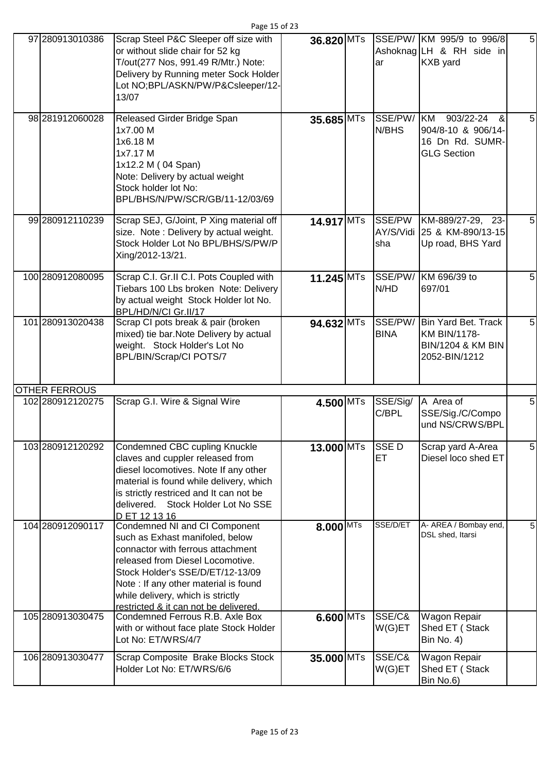| 97 280913010386      | Scrap Steel P&C Sleeper off size with<br>or without slide chair for 52 kg<br>T/out(277 Nos, 991.49 R/Mtr.) Note:<br>Delivery by Running meter Sock Holder<br>Lot NO;BPL/ASKN/PW/P&Csleeper/12-<br>13/07                                                                                             | 36.820 MTs  | ar                       | SSE/PW/ KM 995/9 to 996/8<br>Ashoknag LH & RH side in<br><b>KXB</b> yard                            | 5              |
|----------------------|-----------------------------------------------------------------------------------------------------------------------------------------------------------------------------------------------------------------------------------------------------------------------------------------------------|-------------|--------------------------|-----------------------------------------------------------------------------------------------------|----------------|
| 98 281912060028      | Released Girder Bridge Span<br>1x7.00 M<br>1x6.18 M<br>1x7.17 M<br>1x12.2 M (04 Span)<br>Note: Delivery by actual weight<br>Stock holder lot No:<br>BPL/BHS/N/PW/SCR/GB/11-12/03/69                                                                                                                 | 35.685 MTs  | SSE/PW/ KM<br>N/BHS      | $903/22 - 24$<br>&<br>904/8-10 & 906/14-<br>16 Dn Rd. SUMR-<br><b>GLG Section</b>                   | $\overline{5}$ |
| 99 280912110239      | Scrap SEJ, G/Joint, P Xing material off<br>size. Note: Delivery by actual weight.<br>Stock Holder Lot No BPL/BHS/S/PW/P<br>Xing/2012-13/21.                                                                                                                                                         | 14.917 MTs  | sha                      | SSE/PW KM-889/27-29, 23-<br>AY/S/Vidi 25 & KM-890/13-15<br>Up road, BHS Yard                        | $\overline{5}$ |
| 100 280912080095     | Scrap C.I. Gr.II C.I. Pots Coupled with<br>Tiebars 100 Lbs broken Note: Delivery<br>by actual weight Stock Holder lot No.<br>BPL/HD/N/CI Gr.II/17                                                                                                                                                   | 11.245 MTs  | SSE/PW/<br>N/HD          | KM 696/39 to<br>697/01                                                                              | $\overline{5}$ |
| 101 280913020438     | Scrap CI pots break & pair (broken<br>mixed) tie bar. Note Delivery by actual<br>weight. Stock Holder's Lot No<br><b>BPL/BIN/Scrap/CI POTS/7</b>                                                                                                                                                    | 94.632 MTs  | <b>BINA</b>              | SSE/PW/ Bin Yard Bet. Track<br><b>KM BIN/1178-</b><br><b>BIN/1204 &amp; KM BIN</b><br>2052-BIN/1212 | 5              |
| <b>OTHER FERROUS</b> |                                                                                                                                                                                                                                                                                                     |             |                          |                                                                                                     |                |
| 102 280912120275     | Scrap G.I. Wire & Signal Wire                                                                                                                                                                                                                                                                       | 4.500 MTs   | SSE/Sig/<br>C/BPL        | A Area of<br>SSE/Sig./C/Compo<br>und NS/CRWS/BPL                                                    | 5              |
| 103 280912120292     | Condemned CBC cupling Knuckle<br>claves and cuppler released from<br>diesel locomotives. Note If any other<br>material is found while delivery, which<br>is strictly restriced and It can not be<br>delivered. Stock Holder Lot No SSE<br>D ET 12 13 16                                             | 13.000 MTs  | <b>SSED</b><br><b>ET</b> | Scrap yard A-Area<br>Diesel loco shed ET                                                            | 5              |
| 104 280912090117     | Condemned NI and CI Component<br>such as Exhast manifoled, below<br>connactor with ferrous attachment<br>released from Diesel Locomotive.<br>Stock Holder's SSE/D/ET/12-13/09<br>Note: If any other material is found<br>while delivery, which is strictly<br>restricted & it can not be delivered. | $8.000$ MTs | SSE/D/ET                 | A- AREA / Bombay end,<br>DSL shed, Itarsi                                                           | 5              |
| 105 280913030475     | Condemned Ferrous R.B. Axle Box<br>with or without face plate Stock Holder<br>Lot No: ET/WRS/4/7                                                                                                                                                                                                    | $6.600$ MTs | SSE/C&<br>W(G)ET         | Wagon Repair<br>Shed ET (Stack<br><b>Bin No. 4)</b>                                                 |                |
| 106 280913030477     | Scrap Composite Brake Blocks Stock<br>Holder Lot No: ET/WRS/6/6                                                                                                                                                                                                                                     | 35.000 MTs  | SSE/C&<br>W(G)ET         | Wagon Repair<br>Shed ET (Stack<br>Bin No.6)                                                         |                |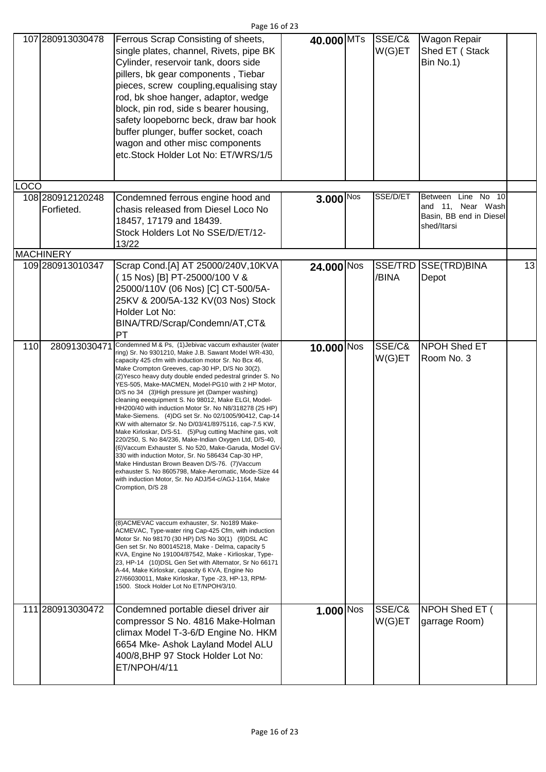|      | 107 280913030478                                   | Ferrous Scrap Consisting of sheets,<br>single plates, channel, Rivets, pipe BK<br>Cylinder, reservoir tank, doors side<br>pillers, bk gear components, Tiebar<br>pieces, screw coupling, equalising stay<br>rod, bk shoe hanger, adaptor, wedge<br>block, pin rod, side s bearer housing,<br>safety loopebornc beck, draw bar hook<br>buffer plunger, buffer socket, coach<br>wagon and other misc components<br>etc.Stock Holder Lot No: ET/WRS/1/5                                                                                                                                                                                                                                                                                                                                                                                                                                                                                                                                                                                                                                                                                                                                                                                                                                                                                                                                                                                                                                                                                                           | 40.000 MTs   | SSE/C&<br>W(G)ET | Wagon Repair<br>Shed ET (Stack<br>Bin No.1)                                          |    |
|------|----------------------------------------------------|----------------------------------------------------------------------------------------------------------------------------------------------------------------------------------------------------------------------------------------------------------------------------------------------------------------------------------------------------------------------------------------------------------------------------------------------------------------------------------------------------------------------------------------------------------------------------------------------------------------------------------------------------------------------------------------------------------------------------------------------------------------------------------------------------------------------------------------------------------------------------------------------------------------------------------------------------------------------------------------------------------------------------------------------------------------------------------------------------------------------------------------------------------------------------------------------------------------------------------------------------------------------------------------------------------------------------------------------------------------------------------------------------------------------------------------------------------------------------------------------------------------------------------------------------------------|--------------|------------------|--------------------------------------------------------------------------------------|----|
| .OCO |                                                    |                                                                                                                                                                                                                                                                                                                                                                                                                                                                                                                                                                                                                                                                                                                                                                                                                                                                                                                                                                                                                                                                                                                                                                                                                                                                                                                                                                                                                                                                                                                                                                |              |                  |                                                                                      |    |
|      | 108 280912120248<br>Forfieted.<br><b>MACHINERY</b> | Condemned ferrous engine hood and<br>chasis released from Diesel Loco No<br>18457, 17179 and 18439.<br>Stock Holders Lot No SSE/D/ET/12-<br>13/22                                                                                                                                                                                                                                                                                                                                                                                                                                                                                                                                                                                                                                                                                                                                                                                                                                                                                                                                                                                                                                                                                                                                                                                                                                                                                                                                                                                                              | 3.000 Nos    | SSE/D/ET         | Line No 10<br>Between<br>and 11, Near Wash<br>Basin, BB end in Diesel<br>shed/Itarsi |    |
|      | 109 280913010347                                   | Scrap Cond.[A] AT 25000/240V,10KVA                                                                                                                                                                                                                                                                                                                                                                                                                                                                                                                                                                                                                                                                                                                                                                                                                                                                                                                                                                                                                                                                                                                                                                                                                                                                                                                                                                                                                                                                                                                             | 24.000 Nos   |                  | SSE/TRD SSE(TRD)BINA                                                                 | 13 |
|      |                                                    | (15 Nos) [B] PT-25000/100 V &<br>25000/110V (06 Nos) [C] CT-500/5A-<br>25KV & 200/5A-132 KV(03 Nos) Stock<br>Holder Lot No:<br>BINA/TRD/Scrap/Condemn/AT,CT&<br>РT                                                                                                                                                                                                                                                                                                                                                                                                                                                                                                                                                                                                                                                                                                                                                                                                                                                                                                                                                                                                                                                                                                                                                                                                                                                                                                                                                                                             |              | /BINA            | Depot                                                                                |    |
| 110  | 280913030471                                       | Condemned M & Ps, (1) Jebivac vaccum exhauster (water<br>ring) Sr. No 9301210, Make J.B. Sawant Model WR-430,<br>capacity 425 cfm with induction motor Sr. No Bcx 46,<br>Make Crompton Greeves, cap-30 HP, D/S No 30(2).<br>(2) Yesco heavy duty double ended pedestral grinder S. No<br>YES-505, Make-MACMEN, Model-PG10 with 2 HP Motor,<br>D/S no 34 (3) High pressure jet (Damper washing)<br>cleaning eeequipment S. No 98012, Make ELGI, Model-<br>HH200/40 with induction Motor Sr. No N8/318278 (25 HP)<br>Make-Siemens. (4) DG set Sr. No 02/1005/90412, Cap-14<br>KW with alternator Sr. No D/03/41/8975116, cap-7.5 KW,<br>Make Kirloskar, D/S-51. (5) Pug cutting Machine gas, volt<br>220/250, S. No 84/236, Make-Indian Oxygen Ltd, D/S-40,<br>(6) Vaccum Exhauster S. No 520, Make-Garuda, Model GV-<br>330 with induction Motor, Sr. No 586434 Cap-30 HP,<br>Make Hindustan Brown Beaven D/S-76. (7) Vaccum<br>exhauster S. No 8605798, Make-Aeromatic, Mode-Size 44<br>with induction Motor, Sr. No ADJ/54-c/AGJ-1164, Make<br>Cromption, D/S 28<br>(8) ACMEVAC vaccum exhauster, Sr. No189 Make-<br>ACMEVAC, Type-water ring Cap-425 Cfm, with induction<br>Motor Sr. No 98170 (30 HP) D/S No 30(1) (9) DSL AC<br>Gen set Sr. No 800145218, Make - Delma, capacity 5<br>KVA, Engine No 191004/87542, Make - Kirlioskar, Type-<br>23, HP-14 (10) DSL Gen Set with Alternator, Sr No 66171<br>A-44, Make Kirloskar, capacity 6 KVA, Engine No<br>27/66030011, Make Kirloskar, Type -23, HP-13, RPM-<br>1500. Stock Holder Lot No ET/NPOH/3/10. | $10.000$ Nos | SSE/C&<br>W(G)ET | <b>NPOH Shed ET</b><br>Room No. 3                                                    |    |
|      |                                                    |                                                                                                                                                                                                                                                                                                                                                                                                                                                                                                                                                                                                                                                                                                                                                                                                                                                                                                                                                                                                                                                                                                                                                                                                                                                                                                                                                                                                                                                                                                                                                                |              |                  |                                                                                      |    |
|      | 111 280913030472                                   | Condemned portable diesel driver air<br>compressor S No. 4816 Make-Holman<br>climax Model T-3-6/D Engine No. HKM<br>6654 Mke- Ashok Layland Model ALU<br>400/8, BHP 97 Stock Holder Lot No:<br>ET/NPOH/4/11                                                                                                                                                                                                                                                                                                                                                                                                                                                                                                                                                                                                                                                                                                                                                                                                                                                                                                                                                                                                                                                                                                                                                                                                                                                                                                                                                    | $1.000$ Nos  | SSE/C&<br>W(G)ET | NPOH Shed ET (<br>garrage Room)                                                      |    |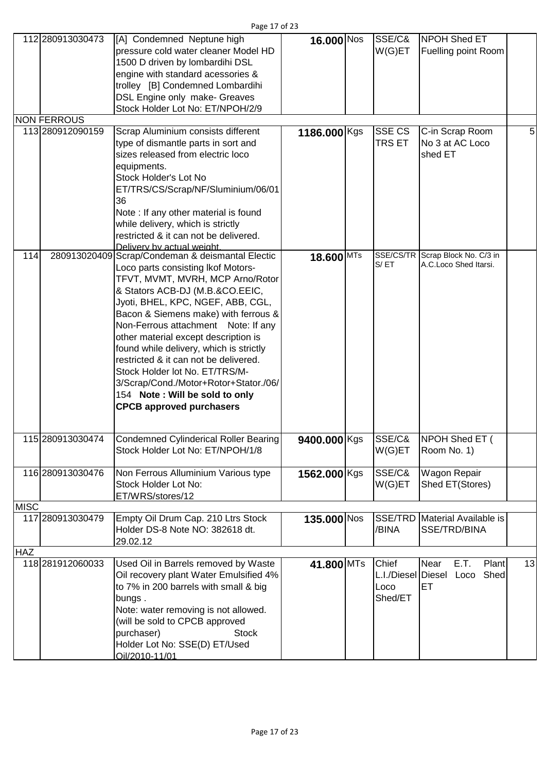| Page 17 of 23 |  |  |  |
|---------------|--|--|--|
|---------------|--|--|--|

|             | 112 280913030473   | [A] Condemned Neptune high<br>pressure cold water cleaner Model HD<br>1500 D driven by lombardihi DSL<br>engine with standard acessories &<br>trolley [B] Condemned Lombardihi<br>DSL Engine only make- Greaves<br>Stock Holder Lot No: ET/NPOH/2/9                                                                                                                                                                                                                                                                                                           | 16.000 Nos   | SSE/C&<br>W(G)ET                               | NPOH Shed ET<br><b>Fuelling point Room</b>                |    |
|-------------|--------------------|---------------------------------------------------------------------------------------------------------------------------------------------------------------------------------------------------------------------------------------------------------------------------------------------------------------------------------------------------------------------------------------------------------------------------------------------------------------------------------------------------------------------------------------------------------------|--------------|------------------------------------------------|-----------------------------------------------------------|----|
|             | <b>NON FERROUS</b> |                                                                                                                                                                                                                                                                                                                                                                                                                                                                                                                                                               |              |                                                |                                                           |    |
|             | 113 280912090159   | Scrap Aluminium consists different<br>type of dismantle parts in sort and<br>sizes released from electric loco<br>equipments.<br>Stock Holder's Lot No<br>ET/TRS/CS/Scrap/NF/Sluminium/06/01<br>36<br>Note : If any other material is found<br>while delivery, which is strictly<br>restricted & it can not be delivered.<br>Delivery by actual weight.                                                                                                                                                                                                       | 1186.000 Kgs | <b>SSE CS</b><br><b>TRS ET</b>                 | C-in Scrap Room<br>No 3 at AC Loco<br>shed ET             | 5  |
| 114         |                    | 280913020409 Scrap/Condeman & deismantal Electic<br>Loco parts consisting Ikof Motors-<br>TFVT, MVMT, MVRH, MCP Arno/Rotor<br>& Stators ACB-DJ (M.B.&CO.EEIC,<br>Jyoti, BHEL, KPC, NGEF, ABB, CGL,<br>Bacon & Siemens make) with ferrous &<br>Non-Ferrous attachment Note: If any<br>other material except description is<br>found while delivery, which is strictly<br>restricted & it can not be delivered.<br>Stock Holder lot No. ET/TRS/M-<br>3/Scrap/Cond./Motor+Rotor+Stator./06/<br>154 Note: Will be sold to only<br><b>CPCB approved purchasers</b> | 18.600 MTs   | S/ET                                           | SSE/CS/TR Scrap Block No. C/3 in<br>A.C.Loco Shed Itarsi. |    |
|             | 115 280913030474   | Condemned Cylinderical Roller Bearing<br>Stock Holder Lot No: ET/NPOH/1/8                                                                                                                                                                                                                                                                                                                                                                                                                                                                                     | 9400.000 Kgs | SSE/C&<br>W(G)ET                               | <b>NPOH Shed ET (</b><br>Room No. 1)                      |    |
|             | 116 280913030476   | Non Ferrous Alluminium Various type<br>Stock Holder Lot No:<br>ET/WRS/stores/12                                                                                                                                                                                                                                                                                                                                                                                                                                                                               | 1562.000 Kgs | SSE/C&<br>W(G)ET                               | Wagon Repair<br>Shed ET(Stores)                           |    |
| <b>MISC</b> |                    |                                                                                                                                                                                                                                                                                                                                                                                                                                                                                                                                                               |              |                                                |                                                           |    |
|             | 117 280913030479   | Empty Oil Drum Cap. 210 Ltrs Stock<br>Holder DS-8 Note NO: 382618 dt.<br>29.02.12                                                                                                                                                                                                                                                                                                                                                                                                                                                                             | 135.000 Nos  | /BINA                                          | SSE/TRD Material Available is<br>SSE/TRD/BINA             |    |
| <b>HAZ</b>  |                    |                                                                                                                                                                                                                                                                                                                                                                                                                                                                                                                                                               |              |                                                |                                                           |    |
|             | 118 281912060033   | Used Oil in Barrels removed by Waste<br>Oil recovery plant Water Emulsified 4%<br>to 7% in 200 barrels with small & big<br>bungs.<br>Note: water removing is not allowed.<br>(will be sold to CPCB approved<br>purchaser)<br><b>Stock</b><br>Holder Lot No: SSE(D) ET/Used<br>Oil/2010-11/01                                                                                                                                                                                                                                                                  | 41.800 MTs   | Chief<br>L.I./Diesel Diesel<br>Loco<br>Shed/ET | E.T.<br>Plant<br>Near<br>Shed<br>Loco<br>ET               | 13 |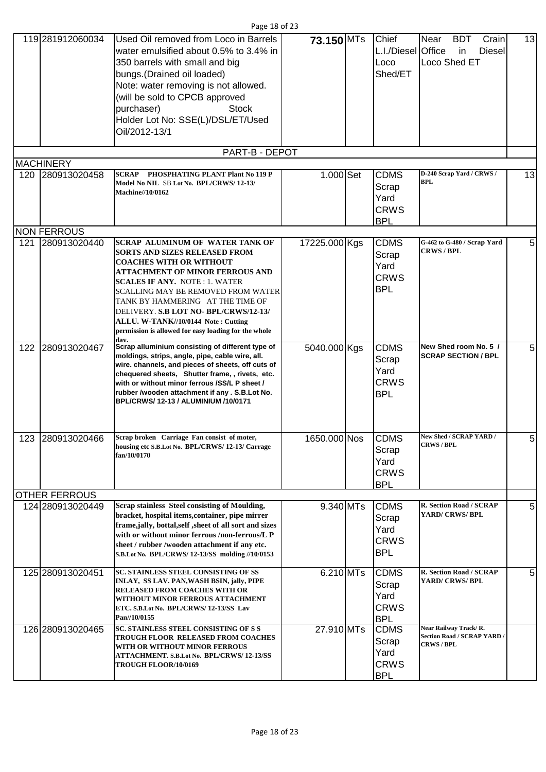|     |                                          | Page 18 of 23                                                                                                                                                                                                                                                                                                                                                                                                               |               |                                                           |                                                                           |    |
|-----|------------------------------------------|-----------------------------------------------------------------------------------------------------------------------------------------------------------------------------------------------------------------------------------------------------------------------------------------------------------------------------------------------------------------------------------------------------------------------------|---------------|-----------------------------------------------------------|---------------------------------------------------------------------------|----|
|     | 119 281912060034                         | Used Oil removed from Loco in Barrels<br>water emulsified about 0.5% to 3.4% in<br>350 barrels with small and big<br>bungs. (Drained oil loaded)<br>Note: water removing is not allowed.<br>(will be sold to CPCB approved<br>purchaser)<br><b>Stock</b><br>Holder Lot No: SSE(L)/DSL/ET/Used<br>Oil/2012-13/1                                                                                                              | 73.150 MTs    | Chief<br>L.I./Diesel Office<br>Loco<br>Shed/ET            | Near<br><b>BDT</b><br>Crain<br>Diesel<br>in<br>Loco Shed ET               | 13 |
|     |                                          | PART-B - DEPOT                                                                                                                                                                                                                                                                                                                                                                                                              |               |                                                           |                                                                           |    |
| 120 | <b>MACHINERY</b><br>280913020458         | SCRAP<br>PHOSPHATING PLANT Plant No 119 P                                                                                                                                                                                                                                                                                                                                                                                   | 1.000 Set     | <b>CDMS</b>                                               | D-240 Scrap Yard / CRWS /                                                 | 13 |
|     |                                          | Model No NIL SB Lot No. BPL/CRWS/12-13/<br><b>Machine//10/0162</b>                                                                                                                                                                                                                                                                                                                                                          |               | Scrap<br>Yard<br><b>CRWS</b><br><b>BPL</b>                | <b>BPL</b>                                                                |    |
|     | <b>NON FERROUS</b>                       |                                                                                                                                                                                                                                                                                                                                                                                                                             |               |                                                           |                                                                           |    |
| 121 | 280913020440                             | <b>SCRAP ALUMINUM OF WATER TANK OF</b><br><b>SORTS AND SIZES RELEASED FROM</b><br><b>COACHES WITH OR WITHOUT</b><br><b>ATTACHMENT OF MINOR FERROUS AND</b><br><b>SCALES IF ANY. NOTE: 1. WATER</b><br>SCALLING MAY BE REMOVED FROM WATER<br>TANK BY HAMMERING AT THE TIME OF<br>DELIVERY. S.B LOT NO- BPL/CRWS/12-13/<br>ALLU. W-TANK//10/0144 Note: Cutting<br>permission is allowed for easy loading for the whole<br>dav | 17225.000 Kgs | <b>CDMS</b><br>Scrap<br>Yard<br><b>CRWS</b><br><b>BPL</b> | G-462 to G-480 / Scrap Yard<br><b>CRWS / BPL</b>                          | 5  |
| 122 | 280913020467                             | Scrap alluminium consisting of different type of<br>moldings, strips, angle, pipe, cable wire, all.<br>wire. channels, and pieces of sheets, off cuts of<br>chequered sheets, Shutter frame, , rivets, etc.<br>with or without minor ferrous /SS/L P sheet /<br>rubber /wooden attachment if any . S.B.Lot No.<br><b>BPL/CRWS/ 12-13 / ALUMINIUM /10/0171</b>                                                               | 5040.000 Kgs  | <b>CDMS</b><br>Scrap<br>Yard<br><b>CRWS</b><br><b>BPL</b> | New Shed room No. 5 /<br><b>SCRAP SECTION / BPL</b>                       | 5  |
| 123 | 280913020466                             | Scrap broken Carriage Fan consist of moter,<br>housing etc S.B.Lot No. BPL/CRWS/12-13/Carrage<br>fan/10/0170                                                                                                                                                                                                                                                                                                                | 1650.000 Nos  | <b>CDMS</b><br>Scrap<br>Yard<br><b>CRWS</b><br><b>BPL</b> | New Shed / SCRAP YARD /<br><b>CRWS/BPL</b>                                | 5  |
|     | <b>OTHER FERROUS</b><br>124 280913020449 | Scrap stainless Steel consisting of Moulding,                                                                                                                                                                                                                                                                                                                                                                               | 9.340 MTs     | <b>CDMS</b>                                               | R. Section Road / SCRAP                                                   | 5  |
|     |                                          | bracket, hospital items, container, pipe mirrer<br>frame,jally, bottal,self ,sheet of all sort and sizes<br>with or without minor ferrous /non-ferrous/L P<br>sheet / rubber /wooden attachment if any etc.<br>S.B.Lot No. BPL/CRWS/12-13/SS molding //10/0153                                                                                                                                                              |               | Scrap<br>Yard<br><b>CRWS</b><br><b>BPL</b>                | YARD/ CRWS/ BPL                                                           |    |
|     | 125 280913020451                         | <b>SC. STAINLESS STEEL CONSISTING OF SS</b><br>INLAY, SS LAV. PAN,WASH BSIN, jally, PIPE<br><b>RELEASED FROM COACHES WITH OR</b><br>WITHOUT MINOR FERROUS ATTACHMENT<br>ETC. S.B.Lot No. BPL/CRWS/12-13/SS Lav<br>Pan//10/0155                                                                                                                                                                                              | 6.210 MTs     | <b>CDMS</b><br>Scrap<br>Yard<br><b>CRWS</b><br><b>BPL</b> | R. Section Road / SCRAP<br>YARD/ CRWS/ BPL                                | 5  |
|     | 126 280913020465                         | SC. STAINLESS STEEL CONSISTING OF S S<br>TROUGH FLOOR RELEASED FROM COACHES<br>WITH OR WITHOUT MINOR FERROUS<br>ATTACHMENT. S.B.Lot No. BPL/CRWS/12-13/SS<br>TROUGH FLOOR/10/0169                                                                                                                                                                                                                                           | 27.910 MTs    | <b>CDMS</b><br>Scrap<br>Yard<br><b>CRWS</b><br><b>BPL</b> | Near Railway Track/R.<br><b>Section Road / SCRAP YARD /</b><br>CRWS / BPL |    |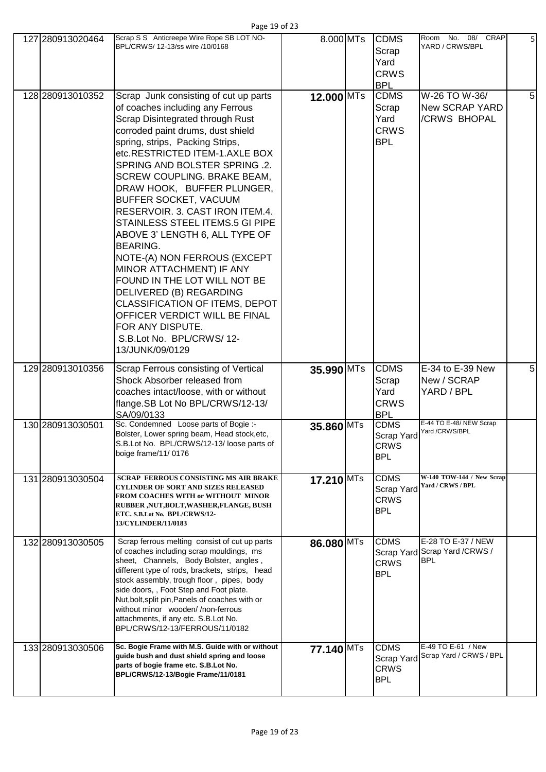| 127 280913020464 | Scrap S S Anticreepe Wire Rope SB LOT NO-<br>BPL/CRWS/ 12-13/ss wire /10/0168                                                                                                                                                                                                                                                                                                                                                                                                                                                                                                                                                                                                                                                          | 8.000 MTs    | <b>CDMS</b><br>Scrap<br>Yard<br><b>CRWS</b><br><b>BPL</b> | Room No. 08/ CRAP<br>YARD / CRWS/BPL                               | 5 <sub>l</sub> |
|------------------|----------------------------------------------------------------------------------------------------------------------------------------------------------------------------------------------------------------------------------------------------------------------------------------------------------------------------------------------------------------------------------------------------------------------------------------------------------------------------------------------------------------------------------------------------------------------------------------------------------------------------------------------------------------------------------------------------------------------------------------|--------------|-----------------------------------------------------------|--------------------------------------------------------------------|----------------|
| 128 280913010352 | Scrap Junk consisting of cut up parts<br>of coaches including any Ferrous<br>Scrap Disintegrated through Rust<br>corroded paint drums, dust shield<br>spring, strips, Packing Strips,<br>etc.RESTRICTED ITEM-1.AXLE BOX<br>SPRING AND BOLSTER SPRING .2.<br>SCREW COUPLING. BRAKE BEAM,<br>DRAW HOOK, BUFFER PLUNGER,<br>BUFFER SOCKET, VACUUM<br>RESERVOIR. 3. CAST IRON ITEM.4.<br>STAINLESS STEEL ITEMS.5 GI PIPE<br>ABOVE 3' LENGTH 6, ALL TYPE OF<br><b>BEARING.</b><br>NOTE-(A) NON FERROUS (EXCEPT<br>MINOR ATTACHMENT) IF ANY<br>FOUND IN THE LOT WILL NOT BE<br>DELIVERED (B) REGARDING<br>CLASSIFICATION OF ITEMS, DEPOT<br>OFFICER VERDICT WILL BE FINAL<br>FOR ANY DISPUTE.<br>S.B.Lot No. BPL/CRWS/12-<br>13/JUNK/09/0129 | $12.000$ MTs | <b>CDMS</b><br>Scrap<br>Yard<br><b>CRWS</b><br><b>BPL</b> | W-26 TO W-36/<br><b>New SCRAP YARD</b><br>/CRWS BHOPAL             | 5              |
| 129 280913010356 | Scrap Ferrous consisting of Vertical<br>Shock Absorber released from<br>coaches intact/loose, with or without<br>flange.SB Lot No BPL/CRWS/12-13/<br>SA/09/0133                                                                                                                                                                                                                                                                                                                                                                                                                                                                                                                                                                        | 35.990 MTs   | <b>CDMS</b><br>Scrap<br>Yard<br><b>CRWS</b><br><b>BPL</b> | E-34 to E-39 New<br>New / SCRAP<br>YARD / BPL                      | 5              |
| 130 280913030501 | Sc. Condemned Loose parts of Bogie :-<br>Bolster, Lower spring beam, Head stock, etc,<br>S.B.Lot No. BPL/CRWS/12-13/loose parts of<br>boige frame/11/0176                                                                                                                                                                                                                                                                                                                                                                                                                                                                                                                                                                              | 35.860 MTs   | <b>CDMS</b><br>Scrap Yard<br>CRWS<br><b>BPL</b>           | E-44 TO E-48/NEW Scrap<br>Yard /CRWS/BPL                           |                |
| 131 280913030504 | <b>SCRAP FERROUS CONSISTING MS AIR BRAKE</b><br><b>CYLINDER OF SORT AND SIZES RELEASED</b><br><b>FROM COACHES WITH or WITHOUT MINOR</b><br>RUBBER ,NUT,BOLT,WASHER,FLANGE, BUSH<br>ETC. S.B.Lot No. BPL/CRWS/12-<br>13/CYLINDER/11/0183                                                                                                                                                                                                                                                                                                                                                                                                                                                                                                | 17.210 MTs   | <b>CDMS</b><br>Scrap Yard<br><b>CRWS</b><br><b>BPL</b>    | W-140 TOW-144 / New Scrap<br>Yard / CRWS / BPL                     |                |
| 132 280913030505 | Scrap ferrous melting consist of cut up parts<br>of coaches including scrap mouldings, ms<br>sheet, Channels, Body Bolster, angles,<br>different type of rods, brackets, strips, head<br>stock assembly, trough floor, pipes, body<br>side doors, , Foot Step and Foot plate.<br>Nut, bolt, split pin, Panels of coaches with or<br>without minor wooden//non-ferrous<br>attachments, if any etc. S.B.Lot No.<br>BPL/CRWS/12-13/FERROUS/11/0182                                                                                                                                                                                                                                                                                        | 86.080 MTs   | <b>CDMS</b><br><b>CRWS</b><br><b>BPL</b>                  | E-28 TO E-37 / NEW<br>Scrap Yard Scrap Yard / CRWS /<br><b>BPL</b> |                |
| 133 280913030506 | Sc. Bogie Frame with M.S. Guide with or without<br>guide bush and dust shield spring and loose<br>parts of bogie frame etc. S.B.Lot No.<br>BPL/CRWS/12-13/Bogie Frame/11/0181                                                                                                                                                                                                                                                                                                                                                                                                                                                                                                                                                          | 77.140 MTs   | <b>CDMS</b><br>Scrap Yard<br><b>CRWS</b>                  | E-49 TO E-61 / New<br>Scrap Yard / CRWS / BPL                      |                |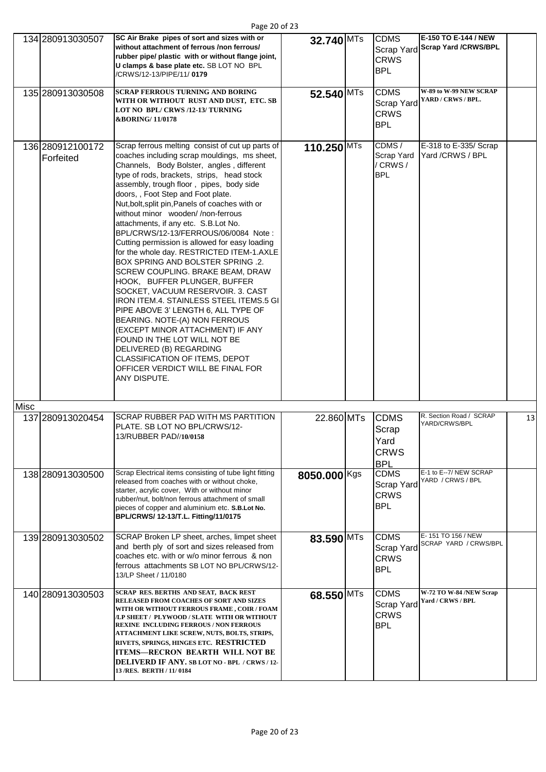| Page 20 of 23 |  |  |  |
|---------------|--|--|--|
|---------------|--|--|--|

|      | 134 280913030507<br>135 280913030508 | SC Air Brake pipes of sort and sizes with or<br>without attachment of ferrous /non ferrous/<br>rubber pipe/ plastic with or without flange joint,<br>U clamps & base plate etc. SB LOT NO BPL<br>/CRWS/12-13/PIPE/11/0179<br><b>SCRAP FERROUS TURNING AND BORING</b>                                                                                                                                                                                                                                                                                                                                                                                                                                                                                                                                                                                                                                                                                                                                               | 32.740 MTs<br>52.540 MTs | <b>CDMS</b><br>Scrap Yard<br><b>CRWS</b><br><b>BPL</b><br><b>CDMS</b> | E-150 TO E-144 / NEW<br><b>Scrap Yard /CRWS/BPL</b><br>W-89 to W-99 NEW SCRAP |    |
|------|--------------------------------------|--------------------------------------------------------------------------------------------------------------------------------------------------------------------------------------------------------------------------------------------------------------------------------------------------------------------------------------------------------------------------------------------------------------------------------------------------------------------------------------------------------------------------------------------------------------------------------------------------------------------------------------------------------------------------------------------------------------------------------------------------------------------------------------------------------------------------------------------------------------------------------------------------------------------------------------------------------------------------------------------------------------------|--------------------------|-----------------------------------------------------------------------|-------------------------------------------------------------------------------|----|
|      |                                      | WITH OR WITHOUT RUST AND DUST, ETC. SB<br>LOT NO BPL/CRWS/12-13/TURNING<br><b>&amp;BORING/11/0178</b>                                                                                                                                                                                                                                                                                                                                                                                                                                                                                                                                                                                                                                                                                                                                                                                                                                                                                                              |                          | Scrap Yard<br><b>CRWS</b><br><b>BPL</b>                               | YARD / CRWS / BPL.                                                            |    |
|      | 136 280912100172<br>Forfeited        | Scrap ferrous melting consist of cut up parts of<br>coaches including scrap mouldings, ms sheet,<br>Channels, Body Bolster, angles, different<br>type of rods, brackets, strips, head stock<br>assembly, trough floor, pipes, body side<br>doors, , Foot Step and Foot plate.<br>Nut, bolt, split pin, Panels of coaches with or<br>without minor wooden//non-ferrous<br>attachments, if any etc. S.B.Lot No.<br>BPL/CRWS/12-13/FERROUS/06/0084 Note:<br>Cutting permission is allowed for easy loading<br>for the whole day. RESTRICTED ITEM-1.AXLE<br><b>BOX SPRING AND BOLSTER SPRING .2.</b><br>SCREW COUPLING. BRAKE BEAM, DRAW<br>HOOK, BUFFER PLUNGER, BUFFER<br>SOCKET, VACUUM RESERVOIR. 3. CAST<br>IRON ITEM.4. STAINLESS STEEL ITEMS.5 GI<br>PIPE ABOVE 3' LENGTH 6, ALL TYPE OF<br>BEARING. NOTE-(A) NON FERROUS<br>(EXCEPT MINOR ATTACHMENT) IF ANY<br>FOUND IN THE LOT WILL NOT BE<br>DELIVERED (B) REGARDING<br>CLASSIFICATION OF ITEMS, DEPOT<br>OFFICER VERDICT WILL BE FINAL FOR<br>ANY DISPUTE. | 110.250 MTs              | CDMS/<br><b>Scrap Yard</b><br>/ CRWS/<br><b>BPL</b>                   | E-318 to E-335/ Scrap<br>Yard /CRWS / BPL                                     |    |
| Misc |                                      |                                                                                                                                                                                                                                                                                                                                                                                                                                                                                                                                                                                                                                                                                                                                                                                                                                                                                                                                                                                                                    |                          |                                                                       |                                                                               |    |
|      | 137 280913020454                     | <b>SCRAP RUBBER PAD WITH MS PARTITION</b><br>PLATE. SB LOT NO BPL/CRWS/12-<br>13/RUBBER PAD//10/0158                                                                                                                                                                                                                                                                                                                                                                                                                                                                                                                                                                                                                                                                                                                                                                                                                                                                                                               | 22.860 MTs               | <b>CDMS</b><br>Scrap<br>Yard<br><b>CRWS</b><br><b>BPL</b>             | R. Section Road / SCRAP<br>YARD/CRWS/BPL                                      | 13 |
|      | 138 280913030500                     | Scrap Electrical items consisting of tube light fitting<br>released from coaches with or without choke,<br>starter, acrylic cover, With or without minor<br>rubber/nut, bolt/non ferrous attachment of small<br>pieces of copper and aluminium etc. S.B.Lot No.<br>BPL/CRWS/ 12-13/T.L. Fitting/11/0175                                                                                                                                                                                                                                                                                                                                                                                                                                                                                                                                                                                                                                                                                                            | 8050.000 Kgs             | <b>CDMS</b><br>Scrap Yard<br><b>CRWS</b><br><b>BPL</b>                | E-1 to E--7/ NEW SCRAP<br>YARD / CRWS / BPL                                   |    |
|      | 139 280913030502                     | SCRAP Broken LP sheet, arches, limpet sheet<br>and berth ply of sort and sizes released from<br>coaches etc. with or w/o minor ferrous & non<br>ferrous attachments SB LOT NO BPL/CRWS/12-<br>13/LP Sheet / 11/0180                                                                                                                                                                                                                                                                                                                                                                                                                                                                                                                                                                                                                                                                                                                                                                                                | 83.590 MTs               | <b>CDMS</b><br><b>Scrap Yard</b><br><b>CRWS</b><br><b>BPL</b>         | E-151 TO 156 / NEW<br>SCRAP YARD / CRWS/BPL                                   |    |
|      | 140 280913030503                     | SCRAP RES. BERTHS AND SEAT, BACK REST<br>RELEASED FROM COACHES OF SORT AND SIZES<br>WITH OR WITHOUT FERROUS FRAME , COIR / FOAM<br>/LP SHEET / PLYWOOD / SLATE WITH OR WITHOUT<br><b>REXINE INCLUDING FERROUS / NON FERROUS</b><br>ATTACHMENT LIKE SCREW, NUTS, BOLTS, STRIPS,<br>RIVETS, SPRINGS, HINGES ETC. RESTRICTED<br><b>ITEMS-RECRON BEARTH WILL NOT BE</b><br><b>DELIVERD IF ANY. SB LOT NO - BPL / CRWS/12-</b><br>13/RES. BERTH / 11/0184                                                                                                                                                                                                                                                                                                                                                                                                                                                                                                                                                               | 68.550 MTs               | <b>CDMS</b><br>Scrap Yard<br><b>CRWS</b><br><b>BPL</b>                | W-72 TO W-84 /NEW Scrap<br>Yard / CRWS / BPL                                  |    |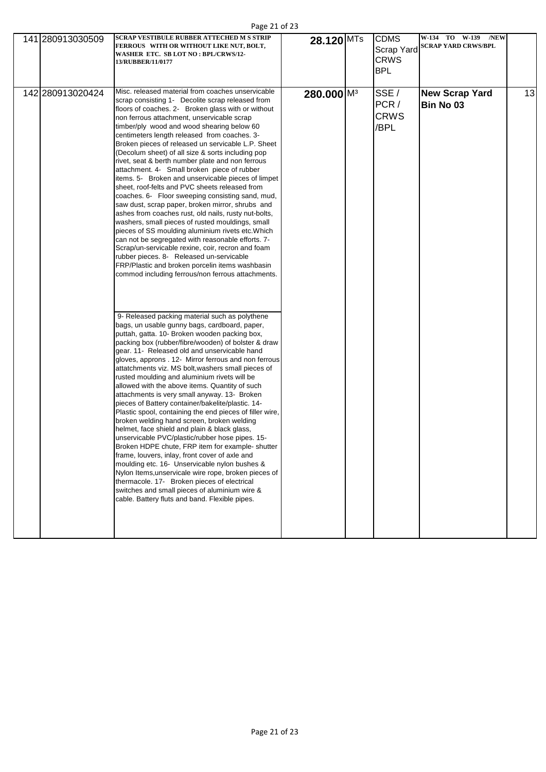| Page 21 of 23 |  |  |  |
|---------------|--|--|--|
|---------------|--|--|--|

| 141 280913030509 | <b>SCRAP VESTIBULE RUBBER ATTECHED M S STRIP</b><br>FERROUS WITH OR WITHOUT LIKE NUT, BOLT,<br>WASHER ETC. SB LOT NO: BPL/CRWS/12-<br>13/RUBBER/11/0177                                                                                                                                                                                                                                                                                                                                                                                                                                                                                                                                                                                                                                                                                                                                                                                                                                                                                                                                                                                                                                                                                                                                                                                                                                                                                                                                                                                                                                                                                                                                                                                                                                                                                                                                                                                                                                                                                                                                                                                                                                                                                                                                                                            | 28.120 MTs             | <b>CDMS</b><br>Scrap Yard<br><b>CRWS</b><br><b>BPL</b> | W-134 TO W-139 /NEW<br><b>SCRAP YARD CRWS/BPL</b> |    |
|------------------|------------------------------------------------------------------------------------------------------------------------------------------------------------------------------------------------------------------------------------------------------------------------------------------------------------------------------------------------------------------------------------------------------------------------------------------------------------------------------------------------------------------------------------------------------------------------------------------------------------------------------------------------------------------------------------------------------------------------------------------------------------------------------------------------------------------------------------------------------------------------------------------------------------------------------------------------------------------------------------------------------------------------------------------------------------------------------------------------------------------------------------------------------------------------------------------------------------------------------------------------------------------------------------------------------------------------------------------------------------------------------------------------------------------------------------------------------------------------------------------------------------------------------------------------------------------------------------------------------------------------------------------------------------------------------------------------------------------------------------------------------------------------------------------------------------------------------------------------------------------------------------------------------------------------------------------------------------------------------------------------------------------------------------------------------------------------------------------------------------------------------------------------------------------------------------------------------------------------------------------------------------------------------------------------------------------------------------|------------------------|--------------------------------------------------------|---------------------------------------------------|----|
| 142 280913020424 | Misc. released material from coaches unservicable<br>scrap consisting 1- Decolite scrap released from<br>floors of coaches. 2- Broken glass with or without<br>non ferrous attachment, unservicable scrap<br>timber/ply wood and wood shearing below 60<br>centimeters length released from coaches. 3-<br>Broken pieces of released un servicable L.P. Sheet<br>(Decolum sheet) of all size & sorts including pop<br>rivet, seat & berth number plate and non ferrous<br>attachment. 4- Small broken piece of rubber<br>items. 5- Broken and unservicable pieces of limpet<br>sheet, roof-felts and PVC sheets released from<br>coaches. 6- Floor sweeping consisting sand, mud,<br>saw dust, scrap paper, broken mirror, shrubs and<br>ashes from coaches rust, old nails, rusty nut-bolts,<br>washers, small pieces of rusted mouldings, small<br>pieces of SS moulding aluminium rivets etc. Which<br>can not be segregated with reasonable efforts. 7-<br>Scrap/un-servicable rexine, coir, recron and foam<br>rubber pieces. 8- Released un-servicable<br>FRP/Plastic and broken porcelin items washbasin<br>commod including ferrous/non ferrous attachments.<br>9- Released packing material such as polythene<br>bags, un usable gunny bags, cardboard, paper,<br>puttah, gatta. 10- Broken wooden packing box,<br>packing box (rubber/fibre/wooden) of bolster & draw<br>gear. 11- Released old and unservicable hand<br>gloves, approns . 12- Mirror ferrous and non ferrous<br>attatchments viz. MS bolt, washers small pieces of<br>rusted moulding and aluminium rivets will be<br>allowed with the above items. Quantity of such<br>attachments is very small anyway. 13- Broken<br>pieces of Battery container/bakelite/plastic. 14-<br>Plastic spool, containing the end pieces of filler wire,<br>broken welding hand screen, broken welding<br>helmet, face shield and plain & black glass,<br>unservicable PVC/plastic/rubber hose pipes. 15-<br>Broken HDPE chute, FRP item for example- shutter<br>frame, louvers, inlay, front cover of axle and<br>moulding etc. 16- Unservicable nylon bushes &<br>Nylon Items, unservicale wire rope, broken pieces of<br>thermacole. 17- Broken pieces of electrical<br>switches and small pieces of aluminium wire &<br>cable. Battery fluts and band. Flexible pipes. | 280.000 M <sup>3</sup> | SSE/<br>PCR/<br><b>CRWS</b><br>/BPL                    | <b>New Scrap Yard</b><br>Bin No 03                | 13 |
|                  |                                                                                                                                                                                                                                                                                                                                                                                                                                                                                                                                                                                                                                                                                                                                                                                                                                                                                                                                                                                                                                                                                                                                                                                                                                                                                                                                                                                                                                                                                                                                                                                                                                                                                                                                                                                                                                                                                                                                                                                                                                                                                                                                                                                                                                                                                                                                    |                        |                                                        |                                                   |    |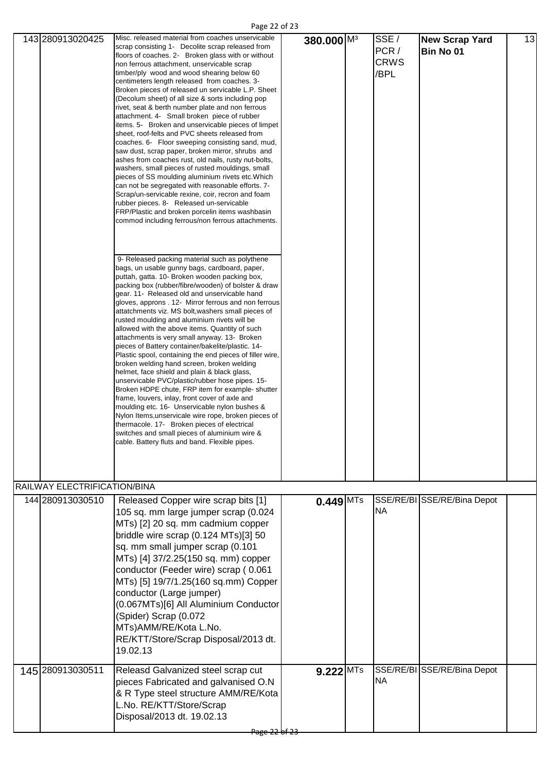Page 22 of 23

|                              | Misc. released material from coaches unservicable                                                                                                                                                                                                                                                                                                                                                                                                                                                                                                                                                                                                                                                                                                                                                                                                                                                                                                                                                                                                                                                                                                                                                                                                                                                                                                                                                                                                                                                                                                                                                                                                                                                                                                                                                                                                                                                                                                                                                                                                                                                                                                                                                                                                                             |                        |                                     |                                    |    |
|------------------------------|-------------------------------------------------------------------------------------------------------------------------------------------------------------------------------------------------------------------------------------------------------------------------------------------------------------------------------------------------------------------------------------------------------------------------------------------------------------------------------------------------------------------------------------------------------------------------------------------------------------------------------------------------------------------------------------------------------------------------------------------------------------------------------------------------------------------------------------------------------------------------------------------------------------------------------------------------------------------------------------------------------------------------------------------------------------------------------------------------------------------------------------------------------------------------------------------------------------------------------------------------------------------------------------------------------------------------------------------------------------------------------------------------------------------------------------------------------------------------------------------------------------------------------------------------------------------------------------------------------------------------------------------------------------------------------------------------------------------------------------------------------------------------------------------------------------------------------------------------------------------------------------------------------------------------------------------------------------------------------------------------------------------------------------------------------------------------------------------------------------------------------------------------------------------------------------------------------------------------------------------------------------------------------|------------------------|-------------------------------------|------------------------------------|----|
| 143 280913020425             | scrap consisting 1- Decolite scrap released from<br>floors of coaches. 2- Broken glass with or without<br>non ferrous attachment, unservicable scrap<br>timber/ply wood and wood shearing below 60<br>centimeters length released from coaches. 3-<br>Broken pieces of released un servicable L.P. Sheet<br>(Decolum sheet) of all size & sorts including pop<br>rivet, seat & berth number plate and non ferrous<br>attachment. 4- Small broken piece of rubber<br>items. 5- Broken and unservicable pieces of limpet<br>sheet, roof-felts and PVC sheets released from<br>coaches. 6- Floor sweeping consisting sand, mud,<br>saw dust, scrap paper, broken mirror, shrubs and<br>ashes from coaches rust, old nails, rusty nut-bolts,<br>washers, small pieces of rusted mouldings, small<br>pieces of SS moulding aluminium rivets etc. Which<br>can not be segregated with reasonable efforts. 7-<br>Scrap/un-servicable rexine, coir, recron and foam<br>rubber pieces. 8- Released un-servicable<br>FRP/Plastic and broken porcelin items washbasin<br>commod including ferrous/non ferrous attachments.<br>9- Released packing material such as polythene<br>bags, un usable gunny bags, cardboard, paper,<br>puttah, gatta. 10- Broken wooden packing box,<br>packing box (rubber/fibre/wooden) of bolster & draw<br>gear. 11- Released old and unservicable hand<br>gloves, approns . 12- Mirror ferrous and non ferrous<br>attatchments viz. MS bolt, washers small pieces of<br>rusted moulding and aluminium rivets will be<br>allowed with the above items. Quantity of such<br>attachments is very small anyway. 13- Broken<br>pieces of Battery container/bakelite/plastic. 14-<br>Plastic spool, containing the end pieces of filler wire,<br>broken welding hand screen, broken welding<br>helmet, face shield and plain & black glass,<br>unservicable PVC/plastic/rubber hose pipes. 15-<br>Broken HDPE chute, FRP item for example- shutter<br>frame, louvers, inlay, front cover of axle and<br>moulding etc. 16- Unservicable nylon bushes &<br>Nylon Items, unservicale wire rope, broken pieces of<br>thermacole. 17- Broken pieces of electrical<br>switches and small pieces of aluminium wire &<br>cable. Battery fluts and band. Flexible pipes. | 380.000 M <sup>3</sup> | SSE/<br>PCR/<br><b>CRWS</b><br>/BPL | <b>New Scrap Yard</b><br>Bin No 01 | 13 |
| RAILWAY ELECTRIFICATION/BINA |                                                                                                                                                                                                                                                                                                                                                                                                                                                                                                                                                                                                                                                                                                                                                                                                                                                                                                                                                                                                                                                                                                                                                                                                                                                                                                                                                                                                                                                                                                                                                                                                                                                                                                                                                                                                                                                                                                                                                                                                                                                                                                                                                                                                                                                                               |                        |                                     |                                    |    |
| 144 280913030510             | Released Copper wire scrap bits [1]<br>105 sq. mm large jumper scrap (0.024<br>MTs) [2] 20 sq. mm cadmium copper<br>briddle wire scrap (0.124 MTs)[3] 50<br>sq. mm small jumper scrap (0.101<br>MTs) [4] 37/2.25(150 sq. mm) copper<br>conductor (Feeder wire) scrap (0.061<br>MTs) [5] 19/7/1.25(160 sq.mm) Copper<br>conductor (Large jumper)<br>(0.067MTs)[6] All Aluminium Conductor<br>(Spider) Scrap (0.072<br>MTs)AMM/RE/Kota L.No.<br>RE/KTT/Store/Scrap Disposal/2013 dt.<br>19.02.13                                                                                                                                                                                                                                                                                                                                                                                                                                                                                                                                                                                                                                                                                                                                                                                                                                                                                                                                                                                                                                                                                                                                                                                                                                                                                                                                                                                                                                                                                                                                                                                                                                                                                                                                                                                | $0.449$ MTs            | <b>NA</b>                           | SSE/RE/BI SSE/RE/Bina Depot        |    |
| 145 280913030511             | Releasd Galvanized steel scrap cut<br>pieces Fabricated and galvanised O.N<br>& R Type steel structure AMM/RE/Kota<br>L.No. RE/KTT/Store/Scrap<br>Disposal/2013 dt. 19.02.13                                                                                                                                                                                                                                                                                                                                                                                                                                                                                                                                                                                                                                                                                                                                                                                                                                                                                                                                                                                                                                                                                                                                                                                                                                                                                                                                                                                                                                                                                                                                                                                                                                                                                                                                                                                                                                                                                                                                                                                                                                                                                                  | $9.222$ MTs            | <b>NA</b>                           | SSE/RE/BI SSE/RE/Bina Depot        |    |